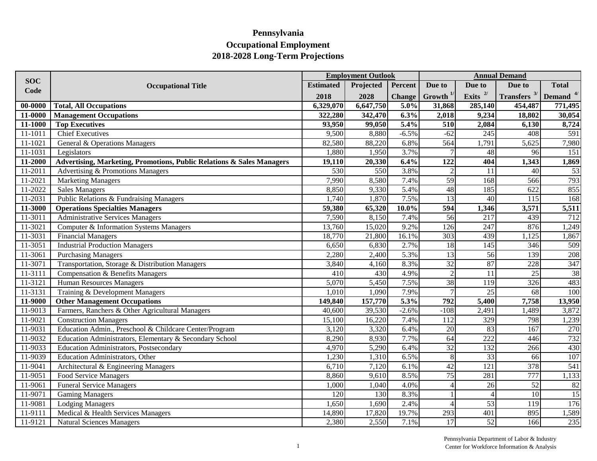|             |                                                                       | <b>Employment Outlook</b> |           |               |                          | <b>Annual Demand</b> |                |                      |  |
|-------------|-----------------------------------------------------------------------|---------------------------|-----------|---------------|--------------------------|----------------------|----------------|----------------------|--|
| <b>SOC</b>  | <b>Occupational Title</b>                                             | <b>Estimated</b>          | Projected | Percent       | Due to                   | Due to               | Due to         | <b>Total</b>         |  |
| Code        |                                                                       | 2018                      | 2028      | <b>Change</b> | Growth $^{1/}$           | Exits $^{2/}$        | Transfers $3/$ | Demand <sup>4/</sup> |  |
| 00-0000     | <b>Total, All Occupations</b>                                         | 6,329,070                 | 6,647,750 | 5.0%          | 31,868                   | 285,140              | 454,487        | 771,495              |  |
| 11-0000     | <b>Management Occupations</b>                                         | 322,280                   | 342,470   | 6.3%          | 2,018                    | 9,234                | 18,802         | 30,054               |  |
| 11-1000     | <b>Top Executives</b>                                                 | 93,950                    | 99,050    | 5.4%          | 510                      | 2,084                | 6,130          | 8,724                |  |
| 11-1011     | <b>Chief Executives</b>                                               | 9,500                     | 8,880     | $-6.5%$       | $-62$                    | 245                  | 408            | 591                  |  |
| 11-1021     | General & Operations Managers                                         | 82,580                    | 88,220    | 6.8%          | 564                      | 1,791                | 5,625          | 7,980                |  |
| $11 - 1031$ | Legislators                                                           | 1,880                     | 1,950     | 3.7%          |                          | 48                   | 96             | 151                  |  |
| 11-2000     | Advertising, Marketing, Promotions, Public Relations & Sales Managers | 19,110                    | 20,330    | 6.4%          | 122                      | 404                  | 1,343          | 1,869                |  |
| 11-2011     | Advertising & Promotions Managers                                     | 530                       | 550       | 3.8%          | $\overline{2}$           | 11                   | 40             | 53                   |  |
| 11-2021     | <b>Marketing Managers</b>                                             | 7,990                     | 8,580     | 7.4%          | 59                       | 168                  | 566            | 793                  |  |
| 11-2022     | <b>Sales Managers</b>                                                 | 8,850                     | 9,330     | 5.4%          | 48                       | 185                  | 622            | 855                  |  |
| 11-2031     | Public Relations & Fundraising Managers                               | 1,740                     | 1,870     | 7.5%          | $\overline{13}$          | 40                   | 115            | 168                  |  |
| 11-3000     | <b>Operations Specialties Managers</b>                                | 59,380                    | 65,320    | $10.0\%$      | $\overline{594}$         | 1,346                | 3,571          | 5,511                |  |
| 11-3011     | <b>Administrative Services Managers</b>                               | 7,590                     | 8,150     | 7.4%          | 56                       | 217                  | 439            | 712                  |  |
| 11-3021     | Computer & Information Systems Managers                               | 13,760                    | 15,020    | 9.2%          | $\frac{126}{2}$          | $\overline{247}$     | 876            | 1,249                |  |
| 11-3031     | <b>Financial Managers</b>                                             | 18,770                    | 21,800    | 16.1%         | 303                      | 439                  | 1,125          | 1,867                |  |
| 11-3051     | <b>Industrial Production Managers</b>                                 | 6,650                     | 6,830     | 2.7%          | 18                       | 145                  | 346            | 509                  |  |
| 11-3061     | <b>Purchasing Managers</b>                                            | 2,280                     | 2,400     | 5.3%          | $\overline{13}$          | 56                   | 139            | 208                  |  |
| 11-3071     | Transportation, Storage & Distribution Managers                       | 3,840                     | 4,160     | 8.3%          | $\overline{32}$          | 87                   | 228            | 347                  |  |
| 11-3111     | <b>Compensation &amp; Benefits Managers</b>                           | 410                       | 430       | 4.9%          | $\overline{2}$           | $\overline{11}$      | 25             | 38                   |  |
| 11-3121     | <b>Human Resources Managers</b>                                       | 5,070                     | 5,450     | 7.5%          | 38                       | 119                  | 326            | 483                  |  |
| 11-3131     | Training & Development Managers                                       | 1,010                     | 1,090     | 7.9%          |                          | $\overline{25}$      | 68             | 100                  |  |
| 11-9000     | <b>Other Management Occupations</b>                                   | 149,840                   | 157,770   | 5.3%          | 792                      | 5,400                | 7,758          | 13,950               |  |
| 11-9013     | Farmers, Ranchers & Other Agricultural Managers                       | 40,600                    | 39,530    | $-2.6%$       | $-108$                   | 2,491                | 1,489          | 3,872                |  |
| 11-9021     | <b>Construction Managers</b>                                          | 15,100                    | 16,220    | 7.4%          | 112                      | 329                  | 798            | 1,239                |  |
| 11-9031     | Education Admin., Preschool & Childcare Center/Program                | 3,120                     | 3,320     | 6.4%          | $\overline{20}$          | 83                   | 167            | 270                  |  |
| 11-9032     | Education Administrators, Elementary & Secondary School               | 8,290                     | 8,930     | 7.7%          | 64                       | 222                  | 446            | 732                  |  |
| 11-9033     | <b>Education Administrators, Postsecondary</b>                        | 4,970                     | 5,290     | 6.4%          | 32                       | $\overline{132}$     | 266            | 430                  |  |
| 11-9039     | <b>Education Administrators</b> , Other                               | 1,230                     | 1,310     | 6.5%          | 8                        | 33                   | 66             | 107                  |  |
| 11-9041     | Architectural & Engineering Managers                                  | 6,710                     | 7,120     | 6.1%          | 42                       | 121                  | 378            | 541                  |  |
| 11-9051     | <b>Food Service Managers</b>                                          | 8,860                     | 9,610     | 8.5%          | 75                       | 281                  | 777            | 1,133                |  |
| 11-9061     | Funeral Service Managers                                              | 1,000                     | 1,040     | 4.0%          | $\overline{\mathcal{A}}$ | 26                   | 52             | 82                   |  |
| 11-9071     | <b>Gaming Managers</b>                                                | 120                       | 130       | 8.3%          |                          | $\overline{4}$       | 10             | 15                   |  |
| 11-9081     | <b>Lodging Managers</b>                                               | 1,650                     | 1,690     | 2.4%          |                          | 53                   | 119            | 176                  |  |
| 11-9111     | Medical & Health Services Managers                                    | 14,890                    | 17,820    | 19.7%         | 293                      | 401                  | 895            | 1,589                |  |
| 11-9121     | <b>Natural Sciences Managers</b>                                      | 2,380                     | 2,550     | 7.1%          | $\overline{17}$          | $\overline{52}$      | 166            | 235                  |  |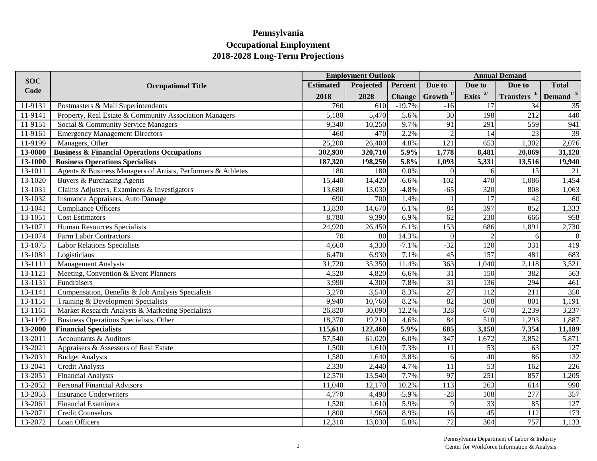|                    |                                                              |                  | <b>Employment Outlook</b> |               |                  |                  | <b>Annual Demand</b> |                                                           |
|--------------------|--------------------------------------------------------------|------------------|---------------------------|---------------|------------------|------------------|----------------------|-----------------------------------------------------------|
| <b>SOC</b><br>Code | <b>Occupational Title</b>                                    | <b>Estimated</b> | Projected                 | Percent       | Due to           | Due to           | Due to               | <b>Total</b>                                              |
|                    |                                                              | 2018             | 2028                      | <b>Change</b> | $G$ rowth $1/$   | Exits $^{2/}$    |                      | <b>Transfers</b> $3$ <sup>I</sup> Demand $4$ <sup>I</sup> |
| 11-9131            | Postmasters & Mail Superintendents                           | 760              | 610                       | $-19.7%$      | $-16$            | 17               | 34                   | 35                                                        |
| 11-9141            | Property, Real Estate & Community Association Managers       | 5,180            | 5,470                     | 5.6%          | 30               | 198              | $\overline{212}$     | 440                                                       |
| 11-9151            | Social & Community Service Managers                          | 9,340            | 10,250                    | 9.7%          | 91               | 291              | 559                  | 941                                                       |
| 11-9161            | <b>Emergency Management Directors</b>                        | 460              | 470                       | 2.2%          | $\overline{2}$   | 14               | $\overline{23}$      | 39                                                        |
| 11-9199            | Managers, Other                                              | 25,200           | 26,400                    | 4.8%          | $\overline{121}$ | 653              | 1,302                | 2,076                                                     |
| 13-0000            | <b>Business &amp; Financial Operations Occupations</b>       | 302,930          | 320,710                   | 5.9%          | 1,778            | 8,481            | 20,869               | 31,128                                                    |
| 13-1000            | <b>Business Operations Specialists</b>                       | 187,320          | 198,250                   | 5.8%          | 1,093            | 5,331            | 13,516               | 19,940                                                    |
| 13-1011            | Agents & Business Managers of Artists, Performers & Athletes | 180              | 180                       | 0.0%          | $\Omega$         | $\sqrt{6}$       | $\overline{15}$      | $\overline{21}$                                           |
| 13-1020            | Buyers & Purchasing Agents                                   | 15,440           | 14,420                    | $-6.6%$       | $-102$           | 470              | 1,086                | 1,454                                                     |
| 13-1031            | Claims Adjusters, Examiners & Investigators                  | 13,680           | 13,030                    | $-4.8%$       | $-65$            | 320              | 808                  | 1,063                                                     |
| 13-1032            | Insurance Appraisers, Auto Damage                            | 690              | 700                       | 1.4%          |                  | $\overline{17}$  | $\overline{42}$      | 60                                                        |
| 13-1041            | <b>Compliance Officers</b>                                   | 13,830           | 14,670                    | 6.1%          | 84               | 397              | 852                  | 1,333                                                     |
| 13-1051            | <b>Cost Estimators</b>                                       | 8,780            | 9,390                     | 6.9%          | $\overline{62}$  | 230              | 666                  | 958                                                       |
| 13-1071            | <b>Human Resources Specialists</b>                           | 24,920           | 26,450                    | 6.1%          | 153              | 686              | 1,891                | 2,730                                                     |
| 13-1074            | Farm Labor Contractors                                       | 70               | 80                        | 14.3%         | $\vert 0 \vert$  | $\mathcal{D}$    | 6                    | 8                                                         |
| 13-1075            | <b>Labor Relations Specialists</b>                           | 4,660            | 4,330                     | $-7.1%$       | $-32$            | 120              | 331                  | 419                                                       |
| 13-1081            | Logisticians                                                 | 6,470            | 6,930                     | 7.1%          | $\overline{45}$  | 157              | 481                  | 683                                                       |
| 13-1111            | Management Analysts                                          | 31,720           | 35,350                    | 11.4%         | 363              | 1,040            | 2,118                | 3,521                                                     |
| 13-1121            | Meeting, Convention & Event Planners                         | 4,520            | 4,820                     | 6.6%          | $\overline{31}$  | 150              | 382                  | 563                                                       |
| 13-1131            | Fundraisers                                                  | 3,990            | 4,300                     | 7.8%          | 31               | 136              | 294                  | 461                                                       |
| 13-1141            | Compensation, Benefits & Job Analysis Specialists            | 3,270            | 3,540                     | 8.3%          | $\overline{27}$  | 112              | $\overline{211}$     | 350                                                       |
| 13-1151            | Training & Development Specialists                           | 9,940            | 10,760                    | 8.2%          | 82               | 308              | 801                  | 1,191                                                     |
| 13-1161            | Market Research Analysts & Marketing Specialists             | 26,820           | 30,090                    | 12.2%         | 328              | 670              | 2,239                | 3,237                                                     |
| 13-1199            | <b>Business Operations Specialists, Other</b>                | 18,370           | 19,210                    | 4.6%          | 84               | 510              | 1,293                | 1,887                                                     |
| 13-2000            | <b>Financial Specialists</b>                                 | 115,610          | 122,460                   | 5.9%          | 685              | 3,150            | 7,354                | 11,189                                                    |
| 13-2011            | <b>Accountants &amp; Auditors</b>                            | 57,540           | 61,020                    | 6.0%          | 347              | 1,672            | 3,852                | 5,871                                                     |
| 13-2021            | Appraisers & Assessors of Real Estate                        | 1,500            | 1,610                     | 7.3%          | 11               | 53               | 63                   | 127                                                       |
| 13-2031            | <b>Budget Analysts</b>                                       | 1,580            | 1,640                     | 3.8%          | 6                | 40               | 86                   | 132                                                       |
| 13-2041            | <b>Credit Analysts</b>                                       | 2,330            | 2,440                     | 4.7%          | 11               | 53               | 162                  | 226                                                       |
| 13-2051            | <b>Financial Analysts</b>                                    | 12,570           | 13,540                    | 7.7%          | 97               | 251              | 857                  | 1,205                                                     |
| 13-2052            | <b>Personal Financial Advisors</b>                           | 11,040           | 12,170                    | 10.2%         | 113              | 263              | 614                  | $\frac{990}{357}$                                         |
| 13-2053            | <b>Insurance Underwriters</b>                                | 4,770            | 4,490                     | $-5.9%$       | $-28$            | 108              | $\overline{277}$     |                                                           |
| 13-2061            | <b>Financial Examiners</b>                                   | 1,520            | 1,610                     | 5.9%          | 9                | 33               | 85                   | 127                                                       |
| 13-2071            | <b>Credit Counselors</b>                                     | 1,800            | 1,960                     | 8.9%          | 16               | 45               | 112                  | 173                                                       |
| 13-2072            | Loan Officers                                                | 12,310           | 13,030                    | 5.8%          | 72               | $\overline{304}$ | 757                  | 1,133                                                     |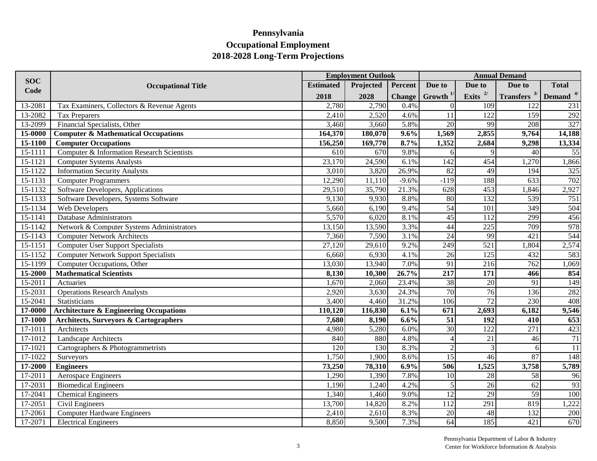|                    |                                                   |                  | <b>Employment Outlook</b> |               |                  |                  | <b>Annual Demand</b>       |                  |
|--------------------|---------------------------------------------------|------------------|---------------------------|---------------|------------------|------------------|----------------------------|------------------|
| <b>SOC</b><br>Code | <b>Occupational Title</b>                         | <b>Estimated</b> | Projected                 | Percent       | Due to           | Due to           | Due to                     | <b>Total</b>     |
|                    |                                                   | 2018             | 2028                      | <b>Change</b> | Growth $^{1/}$   | Exits $2/$       | Transfers $3/$ Demand $4/$ |                  |
| 13-2081            | Tax Examiners, Collectors & Revenue Agents        | 2,780            | 2,790                     | 0.4%          | $\Omega$         | 109              | 122                        | 231              |
| 13-2082            | Tax Preparers                                     | 2,410            | 2,520                     | 4.6%          | 11               | 122              | 159                        | 292              |
| 13-2099            | Financial Specialists, Other                      | 3,460            | 3,660                     | 5.8%          | 20               | 99               | 208                        | 327              |
| 15-0000            | <b>Computer &amp; Mathematical Occupations</b>    | 164,370          | 180,070                   | 9.6%          | 1,569            | 2,855            | 9,764                      | 14,188           |
| 15-1100            | <b>Computer Occupations</b>                       | 156,250          | 169,770                   | 8.7%          | 1,352            | 2,684            | 9,298                      | 13,334           |
| 15-1111            | Computer & Information Research Scientists        | 610              | 670                       | 9.8%          | 6                | $\mathbf Q$      | 40                         | 55               |
| 15-1121            | <b>Computer Systems Analysts</b>                  | 23,170           | 24,590                    | 6.1%          | 142              | 454              | 1,270                      | 1,866            |
| 15-1122            | <b>Information Security Analysts</b>              | 3,010            | 3,820                     | 26.9%         | 82               | 49               | 194                        | 325              |
| 15-1131            | <b>Computer Programmers</b>                       | 12,290           | 11,110                    | $-9.6%$       | $-119$           | 188              | 633                        | 702              |
| 15-1132            | Software Developers, Applications                 | 29,510           | 35,790                    | 21.3%         | 628              | 453              | 1,846                      | 2,927            |
| 15-1133            | Software Developers, Systems Software             | 9,130            | 9,930                     | 8.8%          | 80               | $\overline{132}$ | 539                        | 751              |
| 15-1134            | Web Developers                                    | 5,660            | 6,190                     | 9.4%          | $\overline{54}$  | 101              | 349                        | 504              |
| 15-1141            | Database Administrators                           | 5,570            | 6,020                     | 8.1%          | $\overline{45}$  | 112              | 299                        | 456              |
| 15-1142            | Network & Computer Systems Administrators         | 13,150           | 13,590                    | 3.3%          | 44               | 225              | 709                        | 978              |
| 15-1143            | <b>Computer Network Architects</b>                | 7,360            | 7,590                     | 3.1%          | $\overline{24}$  | 99               | 421                        | 544              |
| 15-1151            | <b>Computer User Support Specialists</b>          | 27,120           | 29,610                    | 9.2%          | 249              | 521              | 1,804                      | 2,574            |
| 15-1152            | <b>Computer Network Support Specialists</b>       | 6,660            | 6,930                     | 4.1%          | $\overline{26}$  | 125              | 432                        | 583              |
| 15-1199            | Computer Occupations, Other                       | 13,030           | 13,940                    | 7.0%          | 91               | 216              | 762                        | 1,069            |
| 15-2000            | <b>Mathematical Scientists</b>                    | 8,130            | 10,300                    | 26.7%         | $\overline{217}$ | $\overline{171}$ | 466                        | 854              |
| 15-2011            | Actuaries                                         | 1,670            | 2,060                     | 23.4%         | $\overline{38}$  | $\overline{20}$  | $\overline{91}$            | 149              |
| 15-2031            | <b>Operations Research Analysts</b>               | 2,920            | 3,630                     | 24.3%         | 70               | 76               | 136                        | 282              |
| 15-2041            | Statisticians                                     | 3,400            | 4,460                     | 31.2%         | $\frac{106}{2}$  | 72               | 230                        | 408              |
| 17-0000            | <b>Architecture &amp; Engineering Occupations</b> | 110,120          | 116,830                   | 6.1%          | $\overline{671}$ | 2,693            | 6,182                      | 9,546            |
| 17-1000            | <b>Architects, Surveyors &amp; Cartographers</b>  | 7,680            | 8,190                     | 6.6%          | $\overline{51}$  | $\overline{192}$ | $\overline{410}$           | $\overline{653}$ |
| $17 - 1011$        | Architects                                        | 4,980            | 5,280                     | 6.0%          | 30               | 122              | 271                        | 423              |
| 17-1012            | Landscape Architects                              | 840              | 880                       | 4.8%          |                  | 21               | 46                         | $\overline{71}$  |
| 17-1021            | Cartographers & Photogrammetrists                 | 120              | 130                       | 8.3%          | $\overline{2}$   | $\mathcal{R}$    | 6                          | 11               |
| 17-1022            | Surveyors                                         | 1,750            | 1,900                     | 8.6%          | 15               | 46               | 87                         | 148              |
| 17-2000            | <b>Engineers</b>                                  | 73,250           | 78,310                    | 6.9%          | 506              | 1,525            | 3,758                      | 5,789            |
| 17-2011            | Aerospace Engineers                               | 1,290            | 1,390                     | 7.8%          | 10 <sup>1</sup>  | 28               | 58                         | 96               |
| 17-2031            | <b>Biomedical Engineers</b>                       | 1,190            | 1,240                     | 4.2%          | 5                | 26               | 62                         | 93               |
| 17-2041            | <b>Chemical Engineers</b>                         | 1,340            | 1,460                     | 9.0%          | $\overline{12}$  | $\overline{29}$  | 59                         | 100              |
| 17-2051            | Civil Engineers                                   | 13,700           | 14,820                    | 8.2%          | 112              | 291              | 819                        | 1,222            |
| 17-2061            | <b>Computer Hardware Engineers</b>                | 2,410            | 2,610                     | 8.3%          | 20               | 48               | 132                        | 200              |
| 17-2071            | <b>Electrical Engineers</b>                       | 8,850            | 9,500                     | 7.3%          | $\overline{64}$  | $\overline{185}$ | 421                        | 670              |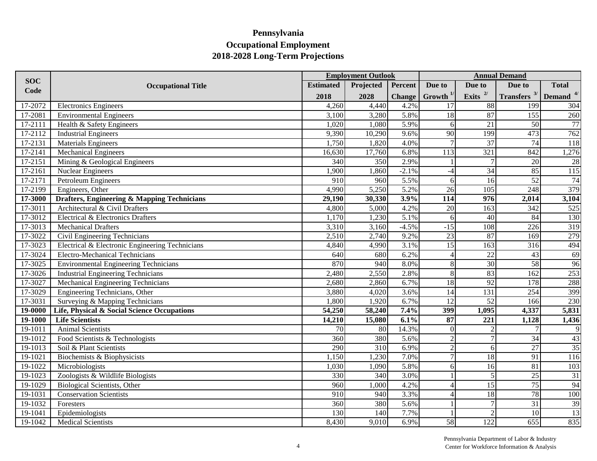|                    |                                                 |                  | <b>Employment Outlook</b> |               |                        |                             | <b>Annual Demand</b>       |                 |
|--------------------|-------------------------------------------------|------------------|---------------------------|---------------|------------------------|-----------------------------|----------------------------|-----------------|
| <b>SOC</b><br>Code | <b>Occupational Title</b>                       | <b>Estimated</b> | Projected                 | Percent       | Due to                 | Due to                      | Due to                     | <b>Total</b>    |
|                    |                                                 | 2018             | 2028                      | <b>Change</b> | $Growth$ <sup>1/</sup> | Exits $^{2/}$               | Transfers $3/$ Demand $4/$ |                 |
| 17-2072            | <b>Electronics Engineers</b>                    | 4,260            | 4,440                     | 4.2%          | 17                     | 88                          | 199                        | 304             |
| 17-2081            | <b>Environmental Engineers</b>                  | 3,100            | 3,280                     | 5.8%          | $\overline{18}$        | 87                          | 155                        | 260             |
| 17-2111            | Health & Safety Engineers                       | 1,020            | 1,080                     | 5.9%          | 6                      | $\overline{21}$             | $\overline{50}$            | 77              |
| 17-2112            | <b>Industrial Engineers</b>                     | 9,390            | 10,290                    | 9.6%          | 90                     | 199                         | 473                        | 762             |
| 17-2131            | <b>Materials Engineers</b>                      | 1,750            | 1,820                     | 4.0%          | $\overline{7}$         | $\overline{37}$             | 74                         | 118             |
| 17-2141            | <b>Mechanical Engineers</b>                     | 16,630           | 17,760                    | 6.8%          | $\overline{113}$       | 321                         | 842                        | ,276            |
| 17-2151            | Mining & Geological Engineers                   | 340              | 350                       | 2.9%          |                        |                             | $\overline{20}$            | 28              |
| 17-2161            | <b>Nuclear Engineers</b>                        | 1,900            | 1,860                     | $-2.1%$       | $-4$                   | $\overline{34}$             | 85                         | 115             |
| 17-2171            | Petroleum Engineers                             | $\overline{910}$ | 960                       | 5.5%          | 6 <sup>1</sup>         | 16                          | 52                         | 74              |
| 17-2199            | Engineers, Other                                | 4,990            | 5,250                     | 5.2%          | $\overline{26}$        | 105                         | 248                        | 379             |
| 17-3000            | Drafters, Engineering & Mapping Technicians     | 29,190           | 30,330                    | 3.9%          | $\overline{114}$       | $\overline{976}$            | 2,014                      | 3,104           |
| 17-3011            | Architectural & Civil Drafters                  | 4,800            | 5,000                     | 4.2%          | $\overline{20}$        | 163                         | 342                        | 525             |
| 17-3012            | Electrical & Electronics Drafters               | 1,170            | 1,230                     | 5.1%          | 6                      | 40                          | 84                         | 130             |
| 17-3013            | <b>Mechanical Drafters</b>                      | 3,310            | 3,160                     | $-4.5%$       | $-15$                  | 108                         | 226                        | 319             |
| 17-3022            | Civil Engineering Technicians                   | 2,510            | 2,740                     | 9.2%          | $\overline{23}$        | 87                          | $\overline{169}$           | 279             |
| 17-3023            | Electrical & Electronic Engineering Technicians | 4,840            | 4,990                     | 3.1%          | $\overline{15}$        | 163                         | $\overline{316}$           | 494             |
| 17-3024            | <b>Electro-Mechanical Technicians</b>           | 640              | 680                       | 6.2%          | $\overline{4}$         | $\overline{22}$             | 43                         | 69              |
| 17-3025            | <b>Environmental Engineering Technicians</b>    | 870              | 940                       | 8.0%          | $8\,$                  | 30                          | 58                         | 96              |
| 17-3026            | <b>Industrial Engineering Technicians</b>       | 2,480            | 2,550                     | 2.8%          | $8\,$                  | 83                          | 162                        | 253             |
| 17-3027            | Mechanical Engineering Technicians              | 2,680            | 2,860                     | 6.7%          | 18                     | 92                          | 178                        | 288             |
| 17-3029            | Engineering Technicians, Other                  | 3,880            | 4,020                     | 3.6%          | 14                     | 131                         | 254                        | 399             |
| 17-3031            | Surveying & Mapping Technicians                 | 1,800            | 1,920                     | 6.7%          | 12                     | 52                          | $\overline{166}$           | 230             |
| 19-0000            | Life, Physical & Social Science Occupations     | 54,250           | 58,240                    | 7.4%          | 399                    | 1,095                       | 4,337                      | 5,831           |
| 19-1000            | <b>Life Scientists</b>                          | 14,210           | 15,080                    | 6.1%          | 87                     | 221                         | 1,128                      | 1,436           |
| 19-1011            | <b>Animal Scientists</b>                        | $\overline{70}$  | 80                        | 14.3%         | $\Omega$               | $\mathcal{D}$               | $\overline{7}$             | $\overline{9}$  |
| 19-1012            | Food Scientists & Technologists                 | 360              | 380                       | 5.6%          | $\overline{c}$         | p                           | $\overline{34}$            | 43              |
| 19-1013            | Soil & Plant Scientists                         | 290              | $\overline{310}$          | 6.9%          | $\overline{2}$         | $\sqrt{6}$                  | $\overline{27}$            | 35              |
| 19-1021            | Biochemists & Biophysicists                     | 1,150            | 1,230                     | 7.0%          | $\overline{7}$         | 18                          | 91                         | 116             |
| 19-1022            | Microbiologists                                 | 1,030            | 1,090                     | 5.8%          | 6                      | 16                          | 81                         | 103             |
| 19-1023            | Zoologists & Wildlife Biologists                | 330              | 340                       | 3.0%          |                        | 5                           | 25                         | $\overline{31}$ |
| 19-1029            | Biological Scientists, Other                    | 960              | 1,000                     | 4.2%          | $\overline{A}$         | 15                          | $\overline{75}$            | 94              |
| 19-1031            | <b>Conservation Scientists</b>                  | $\overline{910}$ | 940                       | 3.3%          | 4                      | 18                          | 78                         | 100             |
| 19-1032            | Foresters                                       | 360              | 380                       | 5.6%          |                        | $\overline{7}$              | $\overline{31}$            | 39              |
| 19-1041            | Epidemiologists                                 | 130              | 140                       | 7.7%          |                        | $\mathcal{D}_{\mathcal{L}}$ | 10                         | 13              |
| 19-1042            | <b>Medical Scientists</b>                       | 8,430            | 9,010                     | 6.9%          | 58                     | 122                         | 655                        | 835             |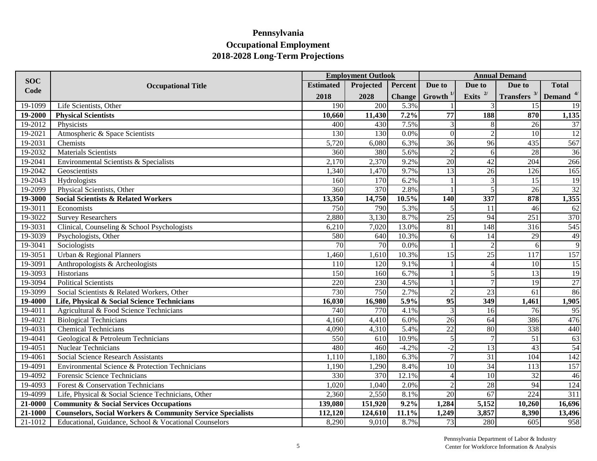|            |                                                                       |                  | <b>Employment Outlook</b> |               |                 | <b>Annual Demand</b> |                       |                  |  |
|------------|-----------------------------------------------------------------------|------------------|---------------------------|---------------|-----------------|----------------------|-----------------------|------------------|--|
| <b>SOC</b> | <b>Occupational Title</b>                                             | <b>Estimated</b> | Projected                 | Percent       | Due to          | Due to               | Due to                | <b>Total</b>     |  |
| Code       |                                                                       | 2018             | 2028                      | <b>Change</b> | Growth $1/$     | Exits $^{2/}$        | <b>Transfers</b> $3/$ | Demand $4/$      |  |
| 19-1099    | Life Scientists, Other                                                | 190              | 200                       | 5.3%          |                 |                      | 15                    | 19               |  |
| 19-2000    | <b>Physical Scientists</b>                                            | 10,660           | 11,430                    | 7.2%          | $\overline{77}$ | 188                  | 870                   | 1,135            |  |
| 19-2012    | Physicists                                                            | 400              | 430                       | 7.5%          | 3               | 8                    | 26                    | 37               |  |
| 19-2021    | Atmospheric & Space Scientists                                        | 130              | 130                       | 0.0%          | $\overline{0}$  | $\overline{2}$       | 10                    | 12               |  |
| 19-2031    | Chemists                                                              | 5,720            | 6,080                     | 6.3%          | $\overline{36}$ | 96                   | 435                   | 567              |  |
| 19-2032    | Materials Scientists                                                  | 360              | 380                       | 5.6%          | $\overline{2}$  | $\vert 6 \vert$      | 28                    | 36               |  |
| 19-2041    | Environmental Scientists & Specialists                                | 2,170            | 2,370                     | 9.2%          | $\overline{20}$ | $\overline{42}$      | 204                   | 266              |  |
| 19-2042    | Geoscientists                                                         | 1,340            | 1,470                     | 9.7%          | $\overline{13}$ | $\overline{26}$      | 126                   | 165              |  |
| 19-2043    | Hydrologists                                                          | 160              | 170                       | 6.2%          |                 | 3                    | 15                    | 19               |  |
| 19-2099    | Physical Scientists, Other                                            | 360              | 370                       | 2.8%          |                 | 5                    | 26                    | 32               |  |
| 19-3000    | <b>Social Scientists &amp; Related Workers</b>                        | 13,350           | 14,750                    | 10.5%         | <b>140</b>      | 337                  | 878                   | 1,355            |  |
| 19-3011    | Economists                                                            | 750              | 790                       | 5.3%          |                 | <sup>11</sup>        | 46                    | 62               |  |
| 19-3022    | <b>Survey Researchers</b>                                             | 2,880            | 3,130                     | 8.7%          | $\overline{25}$ | 94                   | 251                   | 370              |  |
| 19-3031    | Clinical, Counseling & School Psychologists                           | 6,210            | 7,020                     | 13.0%         | 81              | 148                  | 316                   | 545              |  |
| 19-3039    | Psychologists, Other                                                  | 580              | 640                       | 10.3%         | 6               | 14                   | 29                    | 49               |  |
| 19-3041    | Sociologists                                                          | $\overline{70}$  | 70                        | 0.0%          |                 | $\mathfrak{D}$       | 6                     | 9                |  |
| 19-3051    | Urban & Regional Planners                                             | 1,460            | 1,610                     | 10.3%         | 15              | 25                   | 117                   | 157              |  |
| 19-3091    | Anthropologists & Archeologists                                       | 110              | 120                       | 9.1%          |                 | $\overline{4}$       | 10                    | 15               |  |
| 19-3093    | Historians                                                            | 150              | $\overline{160}$          | 6.7%          |                 | 5                    | $\overline{13}$       | 19               |  |
| 19-3094    | <b>Political Scientists</b>                                           | 220              | 230                       | 4.5%          |                 | 7                    | $\overline{19}$       | 27               |  |
| 19-3099    | Social Scientists & Related Workers, Other                            | $\overline{730}$ | 750                       | 2.7%          | $\overline{2}$  | $\overline{23}$      | 61                    | 86               |  |
| 19-4000    | Life, Physical & Social Science Technicians                           | 16,030           | 16,980                    | 5.9%          | $\overline{95}$ | 349                  | 1,461                 | 1,905            |  |
| 19-4011    | Agricultural & Food Science Technicians                               | 740              | 770                       | 4.1%          | 3               | 16                   | 76                    | 95               |  |
| 19-4021    | <b>Biological Technicians</b>                                         | 4,160            | 4,410                     | 6.0%          | 26              | 64                   | 386                   | 476              |  |
| 19-4031    | <b>Chemical Technicians</b>                                           | 4,090            | 4,310                     | 5.4%          | $\overline{22}$ | 80                   | 338                   | 440              |  |
| 19-4041    | Geological & Petroleum Technicians                                    | 550              | 610                       | 10.9%         | 5               | 7                    | 51                    | 63               |  |
| 19-4051    | <b>Nuclear Technicians</b>                                            | 480              | 460                       | $-4.2%$       | $-2$            | 13                   | 43                    | 54               |  |
| 19-4061    | <b>Social Science Research Assistants</b>                             | 1,110            | 1,180                     | 6.3%          |                 | 31                   | $\overline{104}$      | 142              |  |
| 19-4091    | Environmental Science & Protection Technicians                        | 1,190            | 1,290                     | 8.4%          | 10              | $\overline{34}$      | 113                   | 157              |  |
| 19-4092    | Forensic Science Technicians                                          | 330              | 370                       | 12.1%         |                 | $\overline{10}$      | 32                    | 46               |  |
| 19-4093    | Forest & Conservation Technicians                                     | 1,020            | 1,040                     | 2.0%          | $\mathfrak{D}$  | 28                   | 94                    | 124              |  |
| 19-4099    | Life, Physical & Social Science Technicians, Other                    | 2,360            | 2,550                     | 8.1%          | $\overline{20}$ | $\overline{67}$      | 224                   | $\overline{311}$ |  |
| 21-0000    | <b>Community &amp; Social Services Occupations</b>                    | 139,080          | 151,920                   | 9.2%          | 1,284           | 5,152                | 10,260                | 16,696           |  |
| 21-1000    | <b>Counselors, Social Workers &amp; Community Service Specialists</b> | 112,120          | 124,610                   | 11.1%         | 1,249           | 3,857                | 8,390                 | 13,496           |  |
| 21-1012    | Educational, Guidance, School & Vocational Counselors                 | 8,290            | 9,010                     | 8.7%          | 73              | 280                  | 605                   | 958              |  |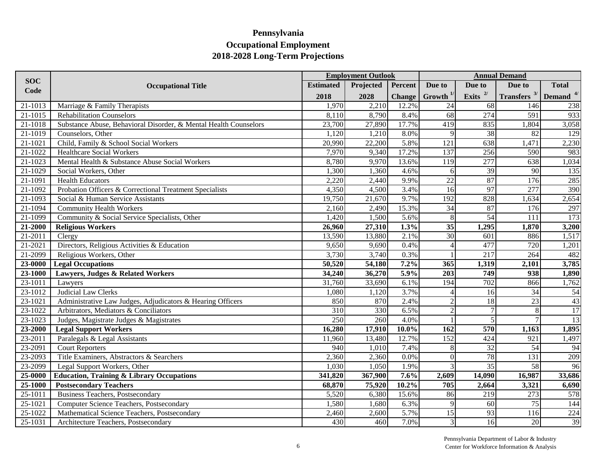|             |                                                                  |                  | <b>Employment Outlook</b> |               |                          |                  | <b>Annual Demand</b>                               |              |
|-------------|------------------------------------------------------------------|------------------|---------------------------|---------------|--------------------------|------------------|----------------------------------------------------|--------------|
| <b>SOC</b>  | <b>Occupational Title</b>                                        | <b>Estimated</b> | Projected                 | Percent       | Due to                   | Due to           | Due to                                             | <b>Total</b> |
| Code        |                                                                  | 2018             | 2028                      | <b>Change</b> | Growth $1/$              | Exits $^{2/}$    | Transfers $3$ <sup>1</sup> Demand $4$ <sup>4</sup> |              |
| 21-1013     | Marriage & Family Therapists                                     | 1,970            | 2,210                     | 12.2%         | 24                       | 68               | 146                                                | 238          |
| 21-1015     | <b>Rehabilitation Counselors</b>                                 | 8,110            | 8,790                     | 8.4%          | 68                       | 274              | 591                                                | 933          |
| 21-1018     | Substance Abuse, Behavioral Disorder, & Mental Health Counselors | 23,700           | 27,890                    | 17.7%         | 419                      | 835              | 1,804                                              | 3,058        |
| 21-1019     | Counselors, Other                                                | 1,120            | 1,210                     | 8.0%          | 9                        | 38               | 82                                                 | 129          |
| 21-1021     | Child, Family & School Social Workers                            | 20,990           | 22,200                    | 5.8%          | $\overline{121}$         | 638              | 1,471                                              | 2,230        |
| 21-1022     | <b>Healthcare Social Workers</b>                                 | 7,970            | 9,340                     | 17.2%         | 137                      | 256              | 590                                                | 983          |
| 21-1023     | Mental Health & Substance Abuse Social Workers                   | 8,780            | 9,970                     | 13.6%         | 119                      | 277              | 638                                                | 1,034        |
| 21-1029     | Social Workers, Other                                            | 1,300            | 1,360                     | 4.6%          | 6                        | $\overline{39}$  | 90                                                 | 135          |
| 21-1091     | <b>Health Educators</b>                                          | 2,220            | 2,440                     | 9.9%          | $\overline{22}$          | 87               | 176                                                | 285          |
| 21-1092     | Probation Officers & Correctional Treatment Specialists          | 4,350            | 4,500                     | 3.4%          | $\overline{16}$          | 97               | 277                                                | 390          |
| 21-1093     | Social & Human Service Assistants                                | 19,750           | 21,670                    | 9.7%          | 192                      | 828              | 1,634                                              | 2,654        |
| 21-1094     | <b>Community Health Workers</b>                                  | 2,160            | 2,490                     | 15.3%         | 34                       | 87               | 176                                                | 297          |
| 21-1099     | Community & Social Service Specialists, Other                    | 1,420            | 1,500                     | 5.6%          | 8                        | 54               | 111                                                | 173          |
| 21-2000     | <b>Religious Workers</b>                                         | 26,960           | 27,310                    | 1.3%          | $\overline{35}$          | 1,295            | 1,870                                              | 3,200        |
| 21-2011     | Clergy                                                           | 13,590           | 13,880                    | 2.1%          | 30                       | 601              | 886                                                | 1,517        |
| $21 - 2021$ | Directors, Religious Activities & Education                      | 9,650            | 9,690                     | 0.4%          |                          | 477              | 720                                                | 1,201        |
| $21 - 2099$ | Religious Workers, Other                                         | 3,730            | 3,740                     | 0.3%          |                          | 217              | 264                                                | 482          |
| $23 - 0000$ | <b>Legal Occupations</b>                                         | 50,520           | 54,180                    | 7.2%          | 365                      | 1,319            | 2,101                                              | 3,785        |
| 23-1000     | Lawyers, Judges & Related Workers                                | 34,240           | 36,270                    | 5.9%          | $\overline{203}$         | 749              | $\overline{938}$                                   | 1,890        |
| $23 - 1011$ | Lawyers                                                          | 31,760           | 33,690                    | 6.1%          | 194                      | 702              | 866                                                | 1,762        |
| 23-1012     | <b>Judicial Law Clerks</b>                                       | 1,080            | 1,120                     | 3.7%          | $\boldsymbol{\varDelta}$ | 16               | 34                                                 | 54           |
| 23-1021     | Administrative Law Judges, Adjudicators & Hearing Officers       | 850              | 870                       | 2.4%          | $\mathcal{D}$            | 18               | 23                                                 | 43           |
| 23-1022     | Arbitrators, Mediators & Conciliators                            | $\overline{310}$ | 330                       | 6.5%          | $\overline{2}$           | $\overline{7}$   | 8                                                  | 17           |
| 23-1023     | Judges, Magistrate Judges & Magistrates                          | 250              | 260                       | 4.0%          |                          | 5                |                                                    | 13           |
| 23-2000     | <b>Legal Support Workers</b>                                     | 16,280           | 17,910                    | $10.0\%$      | $\overline{162}$         | $\overline{570}$ | 1,163                                              | 1,895        |
| 23-2011     | Paralegals & Legal Assistants                                    | 11,960           | 13,480                    | 12.7%         | 152                      | 424              | 921                                                | 1,497        |
| 23-2091     | <b>Court Reporters</b>                                           | 940              | 1,010                     | 7.4%          | 8                        | $\overline{32}$  | 54                                                 | 94           |
| 23-2093     | Title Examiners, Abstractors & Searchers                         | 2,360            | 2,360                     | 0.0%          | $\Omega$                 | 78               | 131                                                | 209          |
| 23-2099     | Legal Support Workers, Other                                     | 1,030            | 1,050                     | 1.9%          |                          | $\overline{35}$  | 58                                                 | 96           |
| 25-0000     | <b>Education, Training &amp; Library Occupations</b>             | 341,820          | 367,900                   | 7.6%          | 2,609                    | 14,090           | 16,987                                             | 33,686       |
| 25-1000     | <b>Postsecondary Teachers</b>                                    | 68,870           | 75,920                    | 10.2%         | 705                      | 2,664            | 3,321                                              | 6,690        |
| 25-1011     | <b>Business Teachers, Postsecondary</b>                          | 5,520            | 6,380                     | 15.6%         | 86                       | 219              | 273                                                | 578          |
| 25-1021     | Computer Science Teachers, Postsecondary                         | 1,580            | 1,680                     | 6.3%          | 9                        | 60               | 75                                                 | 144          |
| 25-1022     | Mathematical Science Teachers, Postsecondary                     | 2,460            | 2,600                     | 5.7%          | 15                       | 93               | 116                                                | 224          |
| 25-1031     | Architecture Teachers, Postsecondary                             | 430              | 460                       | 7.0%          | $\mathfrak{Z}$           | 16               | 20                                                 | 39           |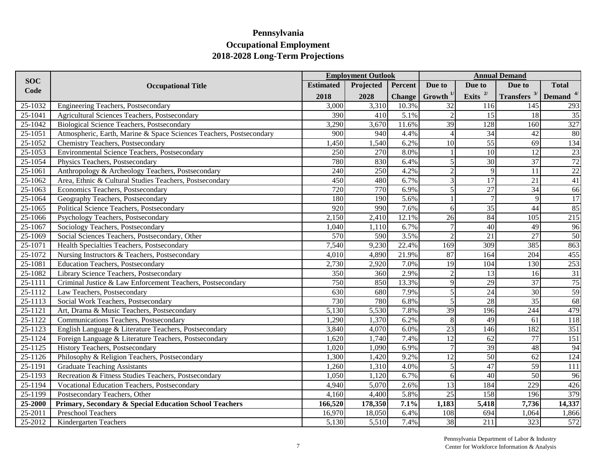|             |                                                                     |                  | <b>Employment Outlook</b> |               |                    |                 | <b>Annual Demand</b> |                  |
|-------------|---------------------------------------------------------------------|------------------|---------------------------|---------------|--------------------|-----------------|----------------------|------------------|
| <b>SOC</b>  | <b>Occupational Title</b>                                           | <b>Estimated</b> | Projected                 | Percent       | Due to             | Due to          | Due to               | <b>Total</b>     |
| Code        |                                                                     | 2018             | 2028                      | <b>Change</b> | $G$ rowth $^{1/2}$ | Exits $2/$      | Transfers $3/$       | Demand $4/$      |
| 25-1032     | Engineering Teachers, Postsecondary                                 | 3,000            | 3,310                     | 10.3%         | 32                 | 116             | 145                  | 293              |
| 25-1041     | Agricultural Sciences Teachers, Postsecondary                       | 390              | 410                       | 5.1%          | $\overline{2}$     | 15              | 18                   | $\overline{35}$  |
| 25-1042     | <b>Biological Science Teachers, Postsecondary</b>                   | 3,290            | 3,670                     | 11.6%         | 39                 | 128             | 160                  | 327              |
| 25-1051     | Atmospheric, Earth, Marine & Space Sciences Teachers, Postsecondary | 900              | 940                       | 4.4%          | $\overline{4}$     | 34              | 42                   | 80               |
| 25-1052     | Chemistry Teachers, Postsecondary                                   | 1,450            | 1,540                     | 6.2%          | 10                 | $\overline{55}$ | 69                   | 134              |
| 25-1053     | Environmental Science Teachers, Postsecondary                       | 250              | 270                       | 8.0%          |                    | 10              | 12                   | 23               |
| 25-1054     | Physics Teachers, Postsecondary                                     | 780              | 830                       | 6.4%          | 5                  | $\overline{30}$ | $\overline{37}$      | 72               |
| 25-1061     | Anthropology & Archeology Teachers, Postsecondary                   | 240              | 250                       | 4.2%          | $\overline{2}$     | 9               | 11                   | $22\,$           |
| 25-1062     | Area, Ethnic & Cultural Studies Teachers, Postsecondary             | 450              | 480                       | 6.7%          | 3                  | 17              | 21                   | 41               |
| $25 - 1063$ | Economics Teachers, Postsecondary                                   | 720              | 770                       | 6.9%          | $\sqrt{5}$         | $\overline{27}$ | $\overline{34}$      | 66               |
| 25-1064     | Geography Teachers, Postsecondary                                   | 180              | 190                       | 5.6%          |                    | $\overline{7}$  | $\mathbf{Q}$         | $\overline{17}$  |
| 25-1065     | Political Science Teachers, Postsecondary                           | $\overline{920}$ | 990                       | 7.6%          | 6                  | $\overline{35}$ | 44                   | 85               |
| 25-1066     | Psychology Teachers, Postsecondary                                  | 2,150            | 2,410                     | 12.1%         | 26                 | 84              | 105                  | 215              |
| 25-1067     | Sociology Teachers, Postsecondary                                   | 1,040            | 1,110                     | 6.7%          | $\overline{7}$     | 40              | 49                   | 96               |
| 25-1069     | Social Sciences Teachers, Postsecondary, Other                      | 570              | 590                       | 3.5%          | $\overline{2}$     | $\overline{21}$ | 27                   | 50               |
| $25 - 1071$ | Health Specialties Teachers, Postsecondary                          | 7,540            | 9,230                     | 22.4%         | $\overline{169}$   | 309             | 385                  | 863              |
| 25-1072     | Nursing Instructors & Teachers, Postsecondary                       | 4,010            | 4,890                     | 21.9%         | 87                 | 164             | 204                  | 455              |
| 25-1081     | <b>Education Teachers, Postsecondary</b>                            | 2,730            | 2,920                     | 7.0%          | 19                 | 104             | 130                  | 253              |
| 25-1082     | Library Science Teachers, Postsecondary                             | 350              | 360                       | 2.9%          | $\overline{2}$     | $\overline{13}$ | 16                   | $\overline{31}$  |
| $25 - 1111$ | Criminal Justice & Law Enforcement Teachers, Postsecondary          | 750              | 850                       | 13.3%         | 9                  | 29              | $\overline{37}$      | 75               |
| 25-1112     | Law Teachers, Postsecondary                                         | 630              | 680                       | 7.9%          | $\overline{5}$     | $\overline{24}$ | $\overline{30}$      | 59               |
| 25-1113     | Social Work Teachers, Postsecondary                                 | 730              | 780                       | 6.8%          | $\overline{5}$     | 28              | $\overline{35}$      | 68               |
| 25-1121     | Art, Drama & Music Teachers, Postsecondary                          | 5,130            | 5,530                     | 7.8%          | $\overline{39}$    | 196             | 244                  | 479              |
| 25-1122     | Communications Teachers, Postsecondary                              | 1,290            | 1,370                     | 6.2%          | 8                  | 49              | 61                   | 118              |
| 25-1123     | English Language & Literature Teachers, Postsecondary               | 3,840            | 4,070                     | 6.0%          | 23                 | 146             | 182                  | $\overline{351}$ |
| 25-1124     | Foreign Language & Literature Teachers, Postsecondary               | 1,620            | 1,740                     | 7.4%          | 12                 | 62              | $\overline{77}$      | 151              |
| 25-1125     | History Teachers, Postsecondary                                     | 1,020            | 1,090                     | 6.9%          | $\overline{7}$     | 39              | 48                   | 94               |
| 25-1126     | Philosophy & Religion Teachers, Postsecondary                       | 1,300            | 1,420                     | 9.2%          | $\overline{12}$    | 50              | 62                   | 124              |
| 25-1191     | <b>Graduate Teaching Assistants</b>                                 | 1,260            | 1,310                     | 4.0%          | 5                  | 47              | 59                   | 111              |
| $25 - 1193$ | Recreation & Fitness Studies Teachers, Postsecondary                | 1,050            | 1,120                     | 6.7%          | $6 \mid$           | $\overline{40}$ | 50                   | 96               |
| 25-1194     | Vocational Education Teachers, Postsecondary                        | 4,940            | 5,070                     | 2.6%          | 13                 | 184             | 229                  | 426              |
| 25-1199     | Postsecondary Teachers, Other                                       | 4,160            | 4,400                     | 5.8%          | 25                 | 158             | 196                  | 379              |
| 25-2000     | Primary, Secondary & Special Education School Teachers              | 166,520          | 178,350                   | 7.1%          | 1,183              | 5,418           | 7,736                | 14,337           |
| 25-2011     | Preschool Teachers                                                  | 16,970           | 18,050                    | 6.4%          | 108                | 694             | 1,064                | 1,866            |
| 25-2012     | Kindergarten Teachers                                               | 5,130            | 5,510                     | 7.4%          | 38                 | 211             | 323                  | 572              |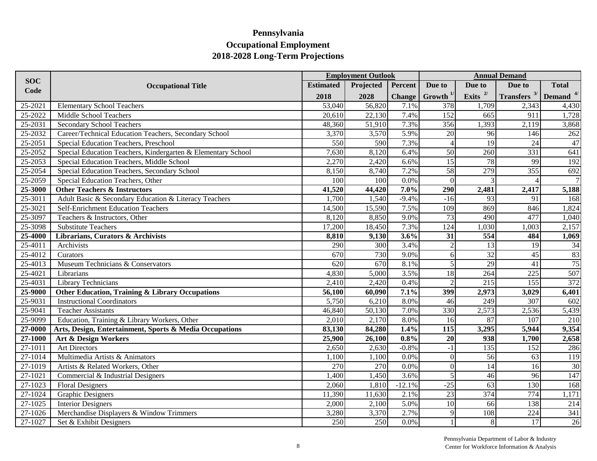|            |                                                              |                  | <b>Employment Outlook</b> |                    |                          |                 | <b>Annual Demand</b>       |                 |
|------------|--------------------------------------------------------------|------------------|---------------------------|--------------------|--------------------------|-----------------|----------------------------|-----------------|
| <b>SOC</b> | <b>Occupational Title</b>                                    | <b>Estimated</b> | Projected                 | Percent            | Due to                   | Due to          | Due to                     | <b>Total</b>    |
| Code       |                                                              | 2018             | 2028                      | <b>Change</b>      | Growth $1/$              | Exits $^{2/}$   | Transfers $3/$ Demand $4/$ |                 |
| 25-2021    | <b>Elementary School Teachers</b>                            | 53,040           | 56,820                    | 7.1%               | 378                      | 1,709           | 2,343                      | 4,430           |
| 25-2022    | Middle School Teachers                                       | 20,610           | 22,130                    | 7.4%               | 152                      | 665             | 911                        | 1,728           |
| 25-2031    | <b>Secondary School Teachers</b>                             | 48,360           | 51,910                    | 7.3%               | 356                      | 1,393           | 2,119                      | 3,868           |
| 25-2032    | Career/Technical Education Teachers, Secondary School        | 3,370            | 3,570                     | 5.9%               | 20                       | 96              | 146                        | 262             |
| 25-2051    | Special Education Teachers, Preschool                        | 550              | 590                       | 7.3%               | $\Delta$                 | $\overline{19}$ | 24                         | $47\,$          |
| 25-2052    | Special Education Teachers, Kindergarten & Elementary School | 7,630            | 8,120                     | 6.4%               | 50                       | 260             | 331                        | 641             |
| 25-2053    | Special Education Teachers, Middle School                    | 2,270            | 2,420                     | 6.6%               | $\overline{15}$          | 78              | 99                         | 192             |
| 25-2054    | Special Education Teachers, Secondary School                 | 8,150            | 8,740                     | 7.2%               | 58                       | 279             | 355                        | 692             |
| 25-2059    | Special Education Teachers, Other                            | 100              | 100                       | 0.0%               | $\theta$                 |                 |                            | 7               |
| 25-3000    | <b>Other Teachers &amp; Instructors</b>                      | 41,520           | 44,420                    | 7.0%               | 290                      | 2,481           | 2,417                      | 5,188           |
| 25-3011    | Adult Basic & Secondary Education & Literacy Teachers        | 1,700            | 1,540                     | $-9.4%$            | $-16$                    | 93              | 91                         | 168             |
| 25-3021    | Self-Enrichment Education Teachers                           | 14,500           | 15,590                    | 7.5%               | 109                      | 869             | 846                        | 1,824           |
| 25-3097    | Teachers & Instructors, Other                                | 8,120            | 8,850                     | 9.0%               | $\overline{73}$          | 490             | 477                        | 1,040           |
| 25-3098    | <b>Substitute Teachers</b>                                   | 17,200           | 18,450                    | 7.3%               | 124                      | 1,030           | 1,003                      | 2,157           |
| 25-4000    | Librarians, Curators & Archivists                            | 8,810            | 9,130                     | 3.6%               | 31                       | 554             | 484                        | 1,069           |
| 25-4011    | Archivists                                                   | 290              | 300                       | 3.4%               | $\overline{\mathcal{L}}$ | $\overline{13}$ | 19                         | 34              |
| 25-4012    | Curators                                                     | 670              | 730                       | 9.0%               | 6                        | $\overline{32}$ | 45                         | 83              |
| 25-4013    | Museum Technicians & Conservators                            | 620              | 670                       | 8.1%               | 5                        | 29              | 41                         | 75              |
| 25-4021    | Librarians                                                   | 4,830            | 5,000                     | 3.5%               | 18                       | 264             | 225                        | 507             |
| 25-4031    | <b>Library Technicians</b>                                   | 2,410            | 2,420                     | 0.4%               | $\mathcal{I}$            | 215             | 155                        | 372             |
| 25-9000    | <b>Other Education, Training &amp; Library Occupations</b>   | 56,100           | 60,090                    | 7.1%               | 399                      | 2,973           | 3,029                      | 6,401           |
| 25-9031    | <b>Instructional Coordinators</b>                            | 5,750            | 6,210                     | 8.0%               | 46                       | 249             | 307                        | 602             |
| 25-9041    | <b>Teacher Assistants</b>                                    | 46,840           | 50,130                    | 7.0%               | 330                      | 2,573           | 2,536                      | 5,439           |
| 25-9099    | Education, Training & Library Workers, Other                 | 2,010            | 2,170                     | 8.0%               | 16                       | 87              | 107                        | 210             |
| 27-0000    | Arts, Design, Entertainment, Sports & Media Occupations      | 83,130           | 84,280                    | 1.4%               | $\overline{115}$         | 3,295           | 5,944                      | 9,354           |
| 27-1000    | Art & Design Workers                                         | 25,900           | 26,100                    | 0.8%               | 20                       | 938             | 1,700                      | 2,658           |
| 27-1011    | <b>Art Directors</b>                                         | 2,650            | 2,630                     | $-0.8%$            | $-1$                     | 135             | 152                        | 286             |
| 27-1014    | Multimedia Artists & Animators                               | 1,100            | 1,100                     | 0.0%               | $\theta$                 | 56              | 63                         | 119             |
| 27-1019    | Artists & Related Workers, Other                             | 270              | 270                       | 0.0%               | $\theta$                 | 14              | 16                         | 30              |
| 27-1021    | Commercial & Industrial Designers                            | 1,400            | 1,450                     | 3.6%               | 5                        | 46              | 96                         | 147             |
| 27-1023    | <b>Floral Designers</b>                                      | 2,060            | 1,810                     | $-12.1%$           | $-25$                    | 63              | 130                        | 168             |
| 27-1024    | <b>Graphic Designers</b>                                     | 11,390           | 11,630                    | 2.1%               | $\overline{23}$          | 374             | 774                        | 1,171           |
| 27-1025    | <b>Interior Designers</b>                                    | 2,000            | 2,100                     | $\overline{5.0\%}$ | 10                       | 66              | 138                        | 214             |
| 27-1026    | Merchandise Displayers & Window Trimmers                     | 3,280            | 3,370                     | 2.7%               | 9                        | 108             | 224                        | 341             |
| 27-1027    | Set & Exhibit Designers                                      | $\overline{250}$ | $\overline{250}$          | 0.0%               |                          | 8               | 17                         | $\overline{26}$ |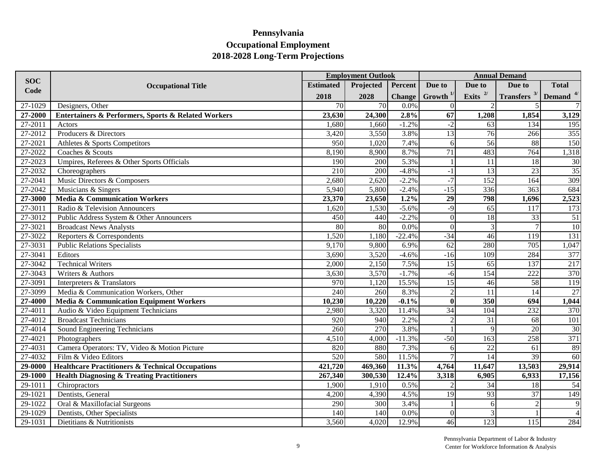|                      |                                                                    |                  | <b>Employment Outlook</b> |               |                 |                  | <b>Annual Demand</b>                               |                 |
|----------------------|--------------------------------------------------------------------|------------------|---------------------------|---------------|-----------------|------------------|----------------------------------------------------|-----------------|
| <b>SOC</b>           | <b>Occupational Title</b>                                          | <b>Estimated</b> | Projected                 | Percent       | Due to          | Due to           | Due to                                             | <b>Total</b>    |
| Code                 |                                                                    | 2018             | 2028                      | <b>Change</b> | Growth $^{1/}$  | Exits $^{2/}$    | Transfers $3$ <sup>1</sup> Demand $4$ <sup>4</sup> |                 |
| 27-1029              | Designers, Other                                                   | 70               | 70                        | 0.0%          | $\Omega$        |                  |                                                    | $7 \frac{1}{2}$ |
| $\overline{27-2000}$ | <b>Entertainers &amp; Performers, Sports &amp; Related Workers</b> | 23,630           | 24,300                    | 2.8%          | 67              | 1,208            | 1,854                                              | 3,129           |
| 27-2011              | Actors                                                             | 1,680            | 1,660                     | $-1.2%$       | $-2$            | 63               | 134                                                | 195             |
| 27-2012              | Producers & Directors                                              | 3,420            | 3,550                     | 3.8%          | 13              | 76               | 266                                                | 355             |
| 27-2021              | Athletes & Sports Competitors                                      | 950              | 1,020                     | 7.4%          | 6               | 56               | 88                                                 | 150             |
| 27-2022              | Coaches & Scouts                                                   | 8,190            | 8,900                     | 8.7%          | 71              | 483              | 764                                                | 1,318           |
| 27-2023              | Umpires, Referees & Other Sports Officials                         | 190              | 200                       | 5.3%          |                 | 11               | 18                                                 | 30              |
| 27-2032              | Choreographers                                                     | 210              | 200                       | $-4.8%$       | $-1$            | $\overline{13}$  | 23                                                 | 35              |
| 27-2041              | Music Directors & Composers                                        | 2,680            | 2,620                     | $-2.2%$       | $-7$            | 152              | 164                                                | 309             |
| 27-2042              | Musicians & Singers                                                | 5,940            | 5,800                     | $-2.4%$       | $-15$           | 336              | 363                                                | 684             |
| 27-3000              | Media & Communication Workers                                      | 23,370           | 23,650                    | 1.2%          | $\overline{29}$ | 798              | 1,696                                              | 2,523           |
| 27-3011              | Radio & Television Announcers                                      | 1,620            | 1,530                     | $-5.6%$       | $-9$            | 65               | 117                                                | 173             |
| 27-3012              | Public Address System & Other Announcers                           | 450              | 440                       | $-2.2%$       | $\theta$        | 18               | 33                                                 | 51              |
| 27-3021              | <b>Broadcast News Analysts</b>                                     | 80               | 80                        | 0.0%          | $\theta$        | 3                | $\tau$                                             | 10              |
| 27-3022              | Reporters & Correspondents                                         | 1,520            | 1,180                     | $-22.4%$      | $-34$           | 46               | 119                                                | 131             |
| 27-3031              | <b>Public Relations Specialists</b>                                | 9,170            | 9,800                     | 6.9%          | $\overline{62}$ | 280              | 705                                                | 1,047           |
| 27-3041              | Editors                                                            | 3,690            | 3,520                     | $-4.6%$       | $-16$           | 109              | 284                                                | 377             |
| 27-3042              | <b>Technical Writers</b>                                           | 2,000            | 2,150                     | 7.5%          | $\overline{15}$ | 65               | 137                                                | 217             |
| 27-3043              | Writers & Authors                                                  | 3,630            | 3,570                     | $-1.7%$       | $-6$            | 154              | 222                                                | 370             |
| 27-3091              | Interpreters & Translators                                         | 970              | 1,120                     | 15.5%         | $\overline{15}$ | 46               | 58                                                 | 119             |
| 27-3099              | Media & Communication Workers, Other                               | $\overline{240}$ | $\overline{260}$          | 8.3%          | $\overline{2}$  | 11               | $\overline{14}$                                    | 27              |
| 27-4000              | Media & Communication Equipment Workers                            | 10,230           | 10,220                    | $-0.1%$       | $\mathbf{0}$    | $\overline{350}$ | 694                                                | 1,044           |
| 27-4011              | Audio & Video Equipment Technicians                                | 2,980            | 3,320                     | 11.4%         | 34              | 104              | 232                                                | 370             |
| 27-4012              | <b>Broadcast Technicians</b>                                       | 920              | 940                       | 2.2%          | $\mathcal{D}$   | 31               | 68                                                 | 101             |
| 27-4014              | Sound Engineering Technicians                                      | 260              | 270                       | 3.8%          |                 | $\overline{9}$   | 20                                                 | 30              |
| 27-4021              | Photographers                                                      | 4,510            | 4,000                     | $-11.3%$      | $-50$           | 163              | 258                                                | 371             |
| 27-4031              | Camera Operators: TV, Video & Motion Picture                       | 820              | 880                       | 7.3%          | 6               | 22               | 61                                                 | 89              |
| 27-4032              | Film & Video Editors                                               | 520              | 580                       | 11.5%         |                 | $\overline{14}$  | 39                                                 | 60              |
| 29-0000              | <b>Healthcare Practitioners &amp; Technical Occupations</b>        | 421,720          | 469,360                   | 11.3%         | 4,764           | 11,647           | 13,503                                             | 29,914          |
| 29-1000              | <b>Health Diagnosing &amp; Treating Practitioners</b>              | 267,340          | 300,530                   | 12.4%         | 3,318           | 6,905            | 6,933                                              | 17,156          |
| 29-1011              | Chiropractors                                                      | 1,900            | 1,910                     | 0.5%          |                 | 34               | 18                                                 | 54              |
| 29-1021              | Dentists, General                                                  | 4,200            | 4,390                     | 4.5%          | 19              | 93               | 37                                                 | 149             |
| 29-1022              | Oral & Maxillofacial Surgeons                                      | 290              | 300                       | 3.4%          |                 | $\sigma$         | $\mathcal{D}$                                      | 9               |
| 29-1029              | Dentists, Other Specialists                                        | 140              | 140                       | 0.0%          | $\Omega$        | 3                |                                                    | $\vert$         |
| 29-1031              | Dietitians & Nutritionists                                         | 3,560            | 4,020                     | 12.9%         | 46              | 123              | 115                                                | 284             |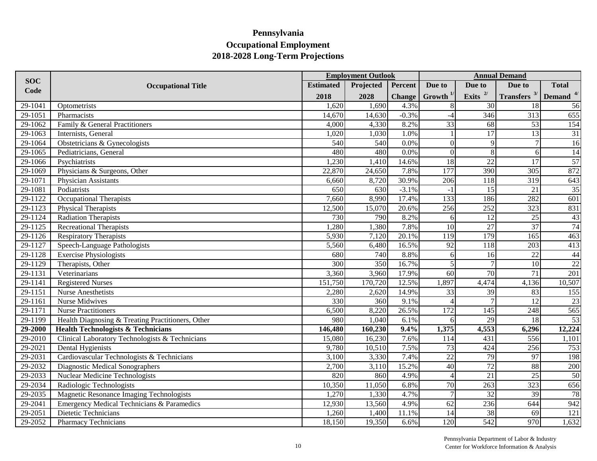|             |                                                   |                  | <b>Annual Demand</b><br><b>Employment Outlook</b> |               |                  |                  |                       |                      |
|-------------|---------------------------------------------------|------------------|---------------------------------------------------|---------------|------------------|------------------|-----------------------|----------------------|
| <b>SOC</b>  | <b>Occupational Title</b>                         | <b>Estimated</b> | Projected                                         | Percent       | Due to           | Due to           | Due to                | <b>Total</b>         |
| Code        |                                                   | 2018             | 2028                                              | <b>Change</b> | Growth $1/$      | Exits $^{2/}$    | <b>Transfers</b> $3/$ | Demand <sup>4/</sup> |
| 29-1041     | Optometrists                                      | 1,620            | 1,690                                             | 4.3%          |                  | 30               | 18                    | 56                   |
| 29-1051     | Pharmacists                                       | 14,670           | 14,630                                            | $-0.3%$       | $-4$             | 346              | 313                   | 655                  |
| 29-1062     | Family & General Practitioners                    | 4,000            | 4,330                                             | 8.2%          | $\overline{33}$  | 68               | 53                    | 154                  |
| 29-1063     | Internists, General                               | 1,020            | 1,030                                             | 1.0%          |                  | 17               | 13                    | 31                   |
| 29-1064     | Obstetricians & Gynecologists                     | 540              | 540                                               | 0.0%          | $\theta$         | $\overline{9}$   |                       | 16                   |
| 29-1065     | Pediatricians, General                            | 480              | 480                                               | 0.0%          | $\overline{0}$   | 8                | 6                     | 14                   |
| 29-1066     | Psychiatrists                                     | 1,230            | 1,410                                             | 14.6%         | 18               | 22               | 17                    | 57                   |
| 29-1069     | Physicians & Surgeons, Other                      | 22,870           | 24,650                                            | 7.8%          | 177              | 390              | $\overline{305}$      | 872                  |
| 29-1071     | Physician Assistants                              | 6,660            | 8,720                                             | 30.9%         | $\overline{206}$ | 118              | 319                   | 643                  |
| 29-1081     | Podiatrists                                       | 650              | 630                                               | $-3.1%$       | $-1$             | 15               | 21                    | 35                   |
| 29-1122     | Occupational Therapists                           | 7,660            | 8,990                                             | 17.4%         | 133              | 186              | 282                   | 601                  |
| 29-1123     | <b>Physical Therapists</b>                        | 12,500           | 15,070                                            | 20.6%         | 256              | 252              | 323                   | 831                  |
| 29-1124     | <b>Radiation Therapists</b>                       | 730              | 790                                               | 8.2%          | 6                | $\overline{12}$  | $\overline{25}$       | 43                   |
| 29-1125     | <b>Recreational Therapists</b>                    | 1,280            | 1,380                                             | 7.8%          | $\overline{10}$  | $\overline{27}$  | $\overline{37}$       | 74                   |
| 29-1126     | <b>Respiratory Therapists</b>                     | 5,930            | 7,120                                             | 20.1%         | $\overline{119}$ | 179              | 165                   | 463                  |
| 29-1127     | Speech-Language Pathologists                      | 5,560            | 6,480                                             | 16.5%         | $\overline{92}$  | 118              | 203                   | 413                  |
| 29-1128     | <b>Exercise Physiologists</b>                     | 680              | 740                                               | 8.8%          | 6                | 16               | 22                    | 44                   |
| 29-1129     | Therapists, Other                                 | 300              | 350                                               | 16.7%         | 5                | $\overline{7}$   | 10                    | 22                   |
| 29-1131     | Veterinarians                                     | 3,360            | 3,960                                             | 17.9%         | $\overline{60}$  | $\overline{70}$  | $\overline{71}$       | 201                  |
| 29-1141     | <b>Registered Nurses</b>                          | 151,750          | 170,720                                           | 12.5%         | 1,897            | 4,474            | 4,136                 | 10,507               |
| 29-1151     | <b>Nurse Anesthetists</b>                         | 2,280            | 2,620                                             | 14.9%         | 33               | $\overline{39}$  | 83                    | 155                  |
| 29-1161     | <b>Nurse Midwives</b>                             | 330              | 360                                               | 9.1%          | $\Delta$         | 7                | $\overline{12}$       | 23                   |
| 29-1171     | <b>Nurse Practitioners</b>                        | 6,500            | 8,220                                             | 26.5%         | 172              | $\overline{145}$ | 248                   | 565                  |
| 29-1199     | Health Diagnosing & Treating Practitioners, Other | 980              | 1,040                                             | 6.1%          | 6                | 29               | 18                    | 53                   |
| 29-2000     | <b>Health Technologists &amp; Technicians</b>     | 146,480          | 160,230                                           | 9.4%          | 1,375            | 4,553            | 6,296                 | 12,224               |
| 29-2010     | Clinical Laboratory Technologists & Technicians   | 15,080           | 16,230                                            | 7.6%          | 114              | 431              | 556                   | 1,101                |
| 29-2021     | Dental Hygienists                                 | 9,780            | 10,510                                            | 7.5%          | 73               | 424              | 256                   | 753                  |
| 29-2031     | Cardiovascular Technologists & Technicians        | 3,100            | 3,330                                             | 7.4%          | $\overline{22}$  | 79               | 97                    | 198                  |
| 29-2032     | Diagnostic Medical Sonographers                   | 2,700            | 3,110                                             | 15.2%         | 40               | $\overline{72}$  | 88                    | 200                  |
| 29-2033     | <b>Nuclear Medicine Technologists</b>             | 820              | 860                                               | 4.9%          |                  | 21               | $\overline{25}$       | 50                   |
| 29-2034     | Radiologic Technologists                          | 10,350           | 11,050                                            | 6.8%          | 70               | 263              | 323                   | 656                  |
| 29-2035     | Magnetic Resonance Imaging Technologists          | 1,270            | 1,330                                             | 4.7%          |                  | $\overline{32}$  | 39                    | 78                   |
| 29-2041     | Emergency Medical Technicians & Paramedics        | 12,930           | 13,560                                            | 4.9%          | $\overline{62}$  | 236              | 644                   | 942                  |
| 29-2051     | Dietetic Technicians                              | 1,260            | 1,400                                             | 11.1%         | 14               | 38               | 69                    | 121                  |
| $29 - 2052$ | <b>Pharmacy Technicians</b>                       | 18,150           | 19,350                                            | 6.6%          | 120              | 542              | 970                   | 1,632                |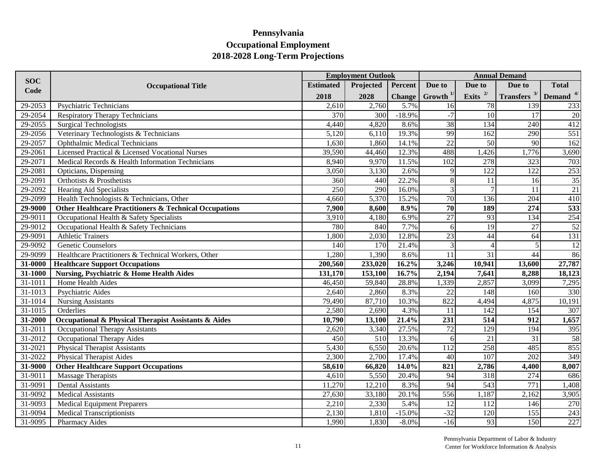|             |                                                                   |                  | <b>Employment Outlook</b> |               |                  |                          | <b>Annual Demand</b>  |                      |
|-------------|-------------------------------------------------------------------|------------------|---------------------------|---------------|------------------|--------------------------|-----------------------|----------------------|
| <b>SOC</b>  | <b>Occupational Title</b>                                         | <b>Estimated</b> | Projected                 | Percent       | Due to           | Due to                   | Due to                | <b>Total</b>         |
| Code        |                                                                   | 2018             | 2028                      | <b>Change</b> | Growth $1/$      | Exits $2/$               | <b>Transfers</b> $3/$ | Demand <sup>4/</sup> |
| 29-2053     | <b>Psychiatric Technicians</b>                                    | 2,610            | 2,760                     | 5.7%          | 16               | 78                       | 139                   | 233                  |
| 29-2054     | <b>Respiratory Therapy Technicians</b>                            | 370              | 300                       | $-18.9%$      | $-7$             | 10                       | 17                    | 20                   |
| 29-2055     | <b>Surgical Technologists</b>                                     | 4,440            | 4,820                     | 8.6%          | $\overline{38}$  | 134                      | 240                   | 412                  |
| 29-2056     | Veterinary Technologists & Technicians                            | 5,120            | 6,110                     | 19.3%         | 99               | 162                      | 290                   | $\overline{551}$     |
| 29-2057     | <b>Ophthalmic Medical Technicians</b>                             | 1,630            | 1,860                     | 14.1%         | $\overline{22}$  | 50                       | 90                    | 162                  |
| 29-2061     | Licensed Practical & Licensed Vocational Nurses                   | 39,590           | 44,460                    | 12.3%         | 488              | ,426                     | 1,776                 | 3,690                |
| 29-2071     | Medical Records & Health Information Technicians                  | 8,940            | 9,970                     | 11.5%         | 102              | 278                      | 323                   | 703                  |
| 29-2081     | Opticians, Dispensing                                             | 3,050            | 3,130                     | 2.6%          | 9                | 122                      | 122                   | 253                  |
| 29-2091     | Orthotists & Prosthetists                                         | 360              | 440                       | 22.2%         | 8                | 11                       | 16                    | 35                   |
| 29-2092     | <b>Hearing Aid Specialists</b>                                    | 250              | 290                       | 16.0%         | 3                | $\overline{7}$           | 11                    | 21                   |
| 29-2099     | Health Technologists & Technicians, Other                         | 4,660            | 5,370                     | 15.2%         | $\overline{70}$  | 136                      | 204                   | 410                  |
| 29-9000     | <b>Other Healthcare Practitioners &amp; Technical Occupations</b> | 7,900            | 8,600                     | 8.9%          | $\overline{70}$  | <b>189</b>               | 274                   | 533                  |
| $29 - 9011$ | Occupational Health & Safety Specialists                          | 3,910            | 4,180                     | 6.9%          | 27               | 93                       | 134                   | 254                  |
| $29 - 9012$ | Occupational Health & Safety Technicians                          | 780              | 840                       | 7.7%          | 6                | $\overline{19}$          | 27                    | 52                   |
| 29-9091     | <b>Athletic Trainers</b>                                          | 1,800            | 2,030                     | 12.8%         | $\overline{23}$  | 44                       | 64                    | 131                  |
| 29-9092     | <b>Genetic Counselors</b>                                         | 140              | 170                       | 21.4%         | $\overline{3}$   | $\overline{\mathcal{L}}$ | 5                     | <sup>12</sup>        |
| 29-9099     | Healthcare Practitioners & Technical Workers, Other               | 1,280            | 1,390                     | 8.6%          | 11               | 31                       | 44                    | 86                   |
| 31-0000     | <b>Healthcare Support Occupations</b>                             | 200,560          | 233,020                   | 16.2%         | 3,246            | 10,941                   | 13,600                | 27,787               |
| 31-1000     | <b>Nursing, Psychiatric &amp; Home Health Aides</b>               | 131,170          | 153,100                   | 16.7%         | 2,194            | 7,641                    | 8,288                 | 18,123               |
| 31-1011     | Home Health Aides                                                 | 46,450           | 59,840                    | 28.8%         | 1,339            | 2,857                    | 3,099                 | 7,295                |
| 31-1013     | Psychiatric Aides                                                 | 2,640            | 2,860                     | 8.3%          | 22               | 148                      | 160                   | 330                  |
| $31 - 1014$ | <b>Nursing Assistants</b>                                         | 79,490           | 87,710                    | 10.3%         | 822              | 4,494                    | 4,875                 | 10,191               |
| $31 - 1015$ | Orderlies                                                         | 2,580            | 2,690                     | 4.3%          | <sup>11</sup>    | 142                      | 154                   | 307                  |
| 31-2000     | Occupational & Physical Therapist Assistants & Aides              | 10,790           | 13,100                    | 21.4%         | $\overline{231}$ | 514                      | 912                   | 1,657                |
| 31-2011     | Occupational Therapy Assistants                                   | 2,620            | 3,340                     | 27.5%         | 72               | 129                      | 194                   | 395                  |
| 31-2012     | Occupational Therapy Aides                                        | 450              | 510                       | 13.3%         | 6                | 21                       | 31                    | 58                   |
| 31-2021     | <b>Physical Therapist Assistants</b>                              | 5,430            | 6,550                     | 20.6%         | $\overline{112}$ | 258                      | 485                   | 855                  |
| 31-2022     | <b>Physical Therapist Aides</b>                                   | 2,300            | 2,700                     | 17.4%         | 40               | $\overline{107}$         | 202                   | 349                  |
| 31-9000     | <b>Other Healthcare Support Occupations</b>                       | 58,610           | 66,820                    | 14.0%         | 821              | 2,786                    | 4,400                 | 8,007                |
| 31-9011     | <b>Massage Therapists</b>                                         | 4,610            | 5,550                     | 20.4%         | 94               | 318                      | 274                   | 686                  |
| 31-9091     | <b>Dental Assistants</b>                                          | 11,270           | 12,210                    | 8.3%          | 94               | 543                      | 771                   | 1,408                |
| $31 - 9092$ | <b>Medical Assistants</b>                                         | 27,630           | 33,180                    | 20.1%         | 556              | 1,187                    | 2,162                 | 3,905                |
| 31-9093     | <b>Medical Equipment Preparers</b>                                | 2,210            | 2,330                     | 5.4%          | $\overline{12}$  | 112                      | 146                   | 270                  |
| 31-9094     | <b>Medical Transcriptionists</b>                                  | 2,130            | 1,810                     | $-15.0%$      | $-32$            | 120                      | 155                   | 243                  |
| 31-9095     | <b>Pharmacy Aides</b>                                             | 1,990            | 1,830                     | $-8.0\%$      | $-16$            | 93                       | 150                   | 227                  |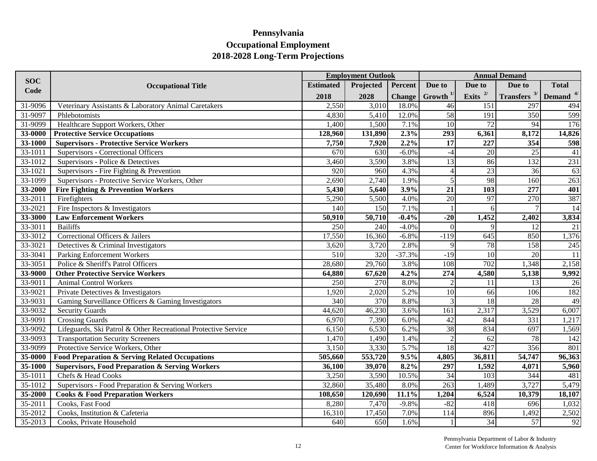|            |                                                                |                  | <b>Annual Demand</b><br><b>Employment Outlook</b> |               |                  |                  |                    |                      |
|------------|----------------------------------------------------------------|------------------|---------------------------------------------------|---------------|------------------|------------------|--------------------|----------------------|
| <b>SOC</b> | <b>Occupational Title</b>                                      | <b>Estimated</b> | Projected                                         | Percent       | Due to           | Due to           | Due to             | <b>Total</b>         |
| Code       |                                                                | 2018             | 2028                                              | <b>Change</b> | Growth $1$       | Exits $^{2/}$    | Transfers $3/$     | Demand <sup>4/</sup> |
| 31-9096    | Veterinary Assistants & Laboratory Animal Caretakers           | 2,550            | 3,010                                             | 18.0%         | 46               | 151              | 297                | 494                  |
| 31-9097    | Phlebotomists                                                  | 4,830            | 5,410                                             | 12.0%         | $\overline{58}$  | 191              | 350                | 599                  |
| 31-9099    | Healthcare Support Workers, Other                              | 1,400            | 1,500                                             | 7.1%          | $\overline{10}$  | 72               | 94                 | 176                  |
| 33-0000    | <b>Protective Service Occupations</b>                          | 128,960          | 131,890                                           | 2.3%          | $\overline{293}$ | 6,361            | 8,172              | 14,826               |
| 33-1000    | <b>Supervisors - Protective Service Workers</b>                | 7,750            | 7,920                                             | 2.2%          | 17               | 227              | 354                | 598                  |
| 33-1011    | Supervisors - Correctional Officers                            | 670              | 630                                               | $-6.0\%$      | $-4$             | 20               | 25                 | 41                   |
| 33-1012    | Supervisors - Police & Detectives                              | 3,460            | 3,590                                             | 3.8%          | 13               | 86               | $\overline{132}$   | 231                  |
| 33-1021    | Supervisors - Fire Fighting & Prevention                       | 920              | 960                                               | 4.3%          | $\overline{4}$   | 23               | 36                 | 63                   |
| 33-1099    | Supervisors - Protective Service Workers, Other                | 2,690            | 2,740                                             | 1.9%          | 5                | 98               | 160                | 263                  |
| 33-2000    | <b>Fire Fighting &amp; Prevention Workers</b>                  | 5,430            | 5,640                                             | 3.9%          | $\overline{21}$  | $\overline{103}$ | 277                | 401                  |
| 33-2011    | Firefighters                                                   | 5,290            | 5,500                                             | 4.0%          | $\overline{20}$  | 97               | 270                | 387                  |
| 33-2021    | Fire Inspectors & Investigators                                | 140              | 150                                               | 7.1%          |                  | $\sqrt{6}$       |                    | 14                   |
| 33-3000    | <b>Law Enforcement Workers</b>                                 | 50,910           | 50,710                                            | $-0.4%$       | $-20$            | 1,452            | 2,402              | 3,834                |
| 33-3011    | <b>Bailiffs</b>                                                | 250              | 240                                               | $-4.0%$       | $\theta$         | $\overline{Q}$   | 12                 | 21                   |
| 33-3012    | Correctional Officers & Jailers                                | 17,550           | 16,360                                            | $-6.8%$       | $-119$           | 645              | 850                | 1,376                |
| 33-3021    | Detectives & Criminal Investigators                            | 3,620            | 3,720                                             | 2.8%          | $\mathbf{Q}$     | 78               | 158                | 245                  |
| 33-3041    | <b>Parking Enforcement Workers</b>                             | 510              | 320                                               | $-37.3%$      | $-19$            | 10 <sup>1</sup>  | 20                 | 11                   |
| 33-3051    | Police & Sheriff's Patrol Officers                             | 28,680           | 29,760                                            | 3.8%          | 108              | 702              | 1,348              | 2,158                |
| 33-9000    | <b>Other Protective Service Workers</b>                        | 64,880           | 67,620                                            | 4.2%          | 274              | 4,580            | $\overline{5,138}$ | 9,992                |
| 33-9011    | <b>Animal Control Workers</b>                                  | 250              | 270                                               | 8.0%          | $\mathcal{D}$    | 11               | 13                 | 26                   |
| 33-9021    | Private Detectives & Investigators                             | 1,920            | 2,020                                             | 5.2%          | 10 <sup>1</sup>  | 66               | 106                | 182                  |
| 33-9031    | Gaming Surveillance Officers & Gaming Investigators            | 340              | 370                                               | 8.8%          | 3                | 18               | $\overline{28}$    | 49                   |
| 33-9032    | <b>Security Guards</b>                                         | 44,620           | 46,230                                            | 3.6%          | 161              | 2,317            | 3,529              | 6,007                |
| 33-9091    | <b>Crossing Guards</b>                                         | 6,970            | 7,390                                             | 6.0%          | 42               | 844              | 331                | 1,217                |
| 33-9092    | Lifeguards, Ski Patrol & Other Recreational Protective Service | 6,150            | 6,530                                             | 6.2%          | 38               | 834              | 697                | 1,569                |
| 33-9093    | <b>Transportation Security Screeners</b>                       | 1,470            | 1,490                                             | 1.4%          | $\overline{2}$   | 62               | 78                 | 142                  |
| 33-9099    | Protective Service Workers, Other                              | 3,150            | 3,330                                             | 5.7%          | $\overline{18}$  | 427              | 356                | 801                  |
| 35-0000    | Food Preparation & Serving Related Occupations                 | 505,660          | 553,720                                           | 9.5%          | 4,805            | 36,811           | 54,747             | 96,363               |
| 35-1000    | <b>Supervisors, Food Preparation &amp; Serving Workers</b>     | 36,100           | 39,070                                            | 8.2%          | 297              | 1,592            | 4,071              | 5,960                |
| 35-1011    | Chefs & Head Cooks                                             | 3,250            | 3,590                                             | 10.5%         | 34               | 103              | 344                | 481                  |
| 35-1012    | Supervisors - Food Preparation & Serving Workers               | 32,860           | 35,480                                            | 8.0%          | $\overline{263}$ | 1,489            | 3,727              | 5,479                |
| 35-2000    | <b>Cooks &amp; Food Preparation Workers</b>                    | 108,650          | 120,690                                           | 11.1%         | 1,204            | 6,524            | 10,379             | 18,107               |
| 35-2011    | Cooks, Fast Food                                               | 8,280            | 7,470                                             | $-9.8%$       | $-82$            | 418              | 696                | 1,032                |
| 35-2012    | Cooks, Institution & Cafeteria                                 | 16,310           | 17,450                                            | 7.0%          | 114              | 896              | 1,492              | 2,502                |
| 35-2013    | Cooks, Private Household                                       | 640              | 650                                               | 1.6%          |                  | 34               | 57                 | 92                   |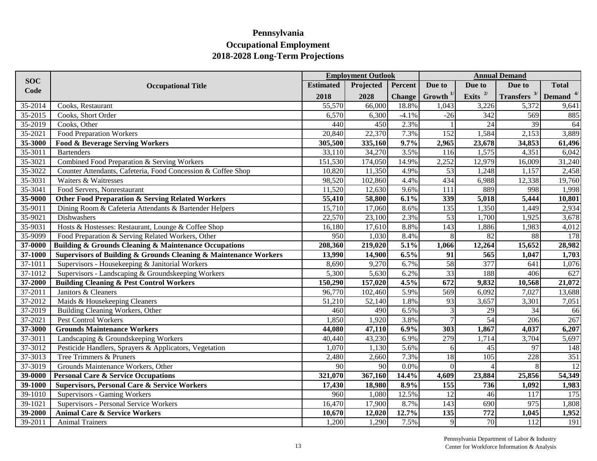|             |                                                                      |                  | <b>Employment Outlook</b> |               |                  |                 | <b>Annual Demand</b>                     |                 |
|-------------|----------------------------------------------------------------------|------------------|---------------------------|---------------|------------------|-----------------|------------------------------------------|-----------------|
| <b>SOC</b>  | <b>Occupational Title</b>                                            | <b>Estimated</b> | Projected                 | Percent       | Due to           | Due to          | Due to                                   | <b>Total</b>    |
| Code        |                                                                      | 2018             | 2028                      | <b>Change</b> | Growth $^{1/}$   | Exits $2/$      | <b>Transfers</b> $3/$ <b>Demand</b> $4/$ |                 |
| 35-2014     | Cooks, Restaurant                                                    | 55,570           | 66,000                    | 18.8%         | 1,043            | 3,226           | 5,372                                    | 9,641           |
| 35-2015     | Cooks, Short Order                                                   | 6,570            | 6,300                     | $-4.1%$       | $-26$            | 342             | 569                                      | 885             |
| 35-2019     | Cooks, Other                                                         | 440              | 450                       | 2.3%          |                  | 24              | 39                                       | 64              |
| 35-2021     | Food Preparation Workers                                             | 20,840           | 22,370                    | 7.3%          | 152              | 1,584           | 2,153                                    | 3,889           |
| 35-3000     | Food & Beverage Serving Workers                                      | 305,500          | 335,160                   | 9.7%          | 2,965            | 23,678          | 34,853                                   | 61,496          |
| 35-3011     | <b>Bartenders</b>                                                    | 33,110           | 34,270                    | 3.5%          | 116              | 1,575           | 4,351                                    | 6,042           |
| 35-3021     | Combined Food Preparation & Serving Workers                          | 151,530          | 174,050                   | 14.9%         | 2,252            | 12,979          | 16,009                                   | 31,240          |
| 35-3022     | Counter Attendants, Cafeteria, Food Concession & Coffee Shop         | 10,820           | 11,350                    | 4.9%          | 53               | 1,248           | 1,157                                    | 2,458           |
| 35-3031     | Waiters & Waitresses                                                 | 98,520           | 102,860                   | 4.4%          | 434              | 6,988           | 12,338                                   | 19,760          |
| 35-3041     | Food Servers, Nonrestaurant                                          | 11,520           | 12,630                    | 9.6%          | 111              | 889             | 998                                      | 1,998           |
| 35-9000     | <b>Other Food Preparation &amp; Serving Related Workers</b>          | 55,410           | 58,800                    | 6.1%          | 339              | 5,018           | 5,444                                    | 10,801          |
| 35-9011     | Dining Room & Cafeteria Attendants & Bartender Helpers               | 15,710           | 17,060                    | 8.6%          | $\overline{135}$ | 1,350           | 1,449                                    | 2,934           |
| 35-9021     | Dishwashers                                                          | 22,570           | 23,100                    | 2.3%          | 53               | 1,700           | 1,925                                    | 3,678           |
| 35-9031     | Hosts & Hostesses: Restaurant, Lounge & Coffee Shop                  | 16,180           | 17,610                    | 8.8%          | 143              | 1,886           | 1,983                                    | 4,012           |
| 35-9099     | Food Preparation & Serving Related Workers, Other                    | 950              | 1,030                     | 8.4%          | 8                | 82              | 88                                       | 178             |
| 37-0000     | <b>Building &amp; Grounds Cleaning &amp; Maintenance Occupations</b> | 208,360          | 219,020                   | 5.1%          | 1,066            | 12,264          | 15,652                                   | 28,982          |
| $37 - 1000$ | Supervisors of Building & Grounds Cleaning & Maintenance Workers     | 13,990           | 14,900                    | 6.5%          | 91               | 565             | 1,047                                    | 1,703           |
| $37 - 1011$ | Supervisors - Housekeeping & Janitorial Workers                      | 8,690            | 9,270                     | 6.7%          | 58               | 377             | 641                                      | 1,076           |
| 37-1012     | Supervisors - Landscaping & Groundskeeping Workers                   | 5,300            | 5,630                     | 6.2%          | $\overline{33}$  | 188             | 406                                      | 627             |
| 37-2000     | <b>Building Cleaning &amp; Pest Control Workers</b>                  | 150,290          | 157,020                   | 4.5%          | $\overline{672}$ | 9,832           | 10,568                                   | 21,072          |
| 37-2011     | Janitors & Cleaners                                                  | 96,770           | 102,460                   | 5.9%          | 569              | 6,092           | 7,027                                    | 13,688          |
| 37-2012     | Maids & Housekeeping Cleaners                                        | 51,210           | 52,140                    | 1.8%          | 93               | 3,657           | 3,301                                    | 7,051           |
| 37-2019     | Building Cleaning Workers, Other                                     | 460              | 490                       | 6.5%          | 3                | 29              | 34                                       | 66              |
| 37-2021     | Pest Control Workers                                                 | 1,850            | 1,920                     | 3.8%          |                  | $\overline{54}$ | 206                                      | 267             |
| 37-3000     | <b>Grounds Maintenance Workers</b>                                   | 44,080           | 47,110                    | 6.9%          | $\frac{1}{303}$  | 1,867           | 4,037                                    | 6,207           |
| 37-3011     | Landscaping & Groundskeeping Workers                                 | 40,440           | 43,230                    | 6.9%          | 279              | 1,714           | 3,704                                    | 5,697           |
| 37-3012     | Pesticide Handlers, Sprayers & Applicators, Vegetation               | 1,070            | 1,130                     | 5.6%          | 6                | 45              | 97                                       | 148             |
| 37-3013     | Tree Trimmers & Pruners                                              | 2,480            | 2,660                     | 7.3%          | 18               | 105             | 228                                      | 351             |
| 37-3019     | Grounds Maintenance Workers, Other                                   | 90               | 90                        | 0.0%          | $\Omega$         | $\overline{4}$  | 8                                        | $\overline{12}$ |
| 39-0000     | <b>Personal Care &amp; Service Occupations</b>                       | 321,070          | 367,160                   | 14.4%         | 4,609            | 23,884          | 25,856                                   | 54,349          |
| 39-1000     | <b>Supervisors, Personal Care &amp; Service Workers</b>              | 17,430           | 18,980                    | 8.9%          | 155              | 736             | 1,092                                    | 1,983           |
| 39-1010     | Supervisors - Gaming Workers                                         | 960              | 1,080                     | 12.5%         | 12               | 46              | 117                                      | 175             |
| 39-1021     | Supervisors - Personal Service Workers                               | 16,470           | 17,900                    | 8.7%          | $\overline{143}$ | 690             | 975                                      | 1,808           |
| 39-2000     | <b>Animal Care &amp; Service Workers</b>                             | 10,670           | 12,020                    | 12.7%         | 135              | 772             | 1,045                                    | 1,952           |
| 39-2011     | <b>Animal Trainers</b>                                               | 1,200            | 1,290                     | 7.5%          | $\overline{9}$   | 70              | 112                                      | 191             |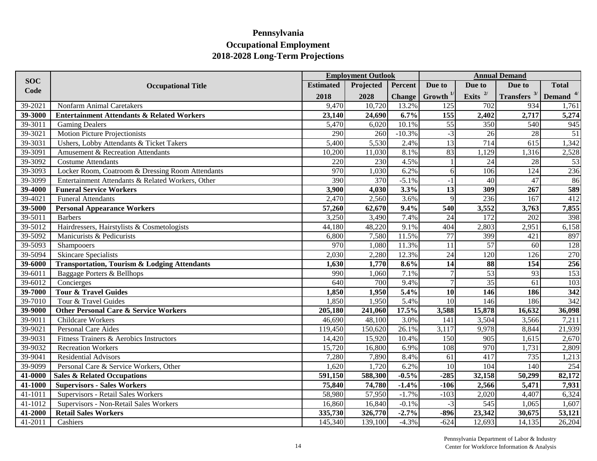|            |                                                         |                  | <b>Employment Outlook</b> |               |                 |                  | <b>Annual Demand</b>  |                  |
|------------|---------------------------------------------------------|------------------|---------------------------|---------------|-----------------|------------------|-----------------------|------------------|
| <b>SOC</b> | <b>Occupational Title</b>                               | <b>Estimated</b> | Projected                 | Percent       | Due to          | Due to           | Due to                | <b>Total</b>     |
| Code       |                                                         | 2018             | 2028                      | <b>Change</b> | Growth $1/$     | Exits $2/$       | <b>Transfers</b> $3/$ | Demand $4/$      |
| 39-2021    | Nonfarm Animal Caretakers                               | 9,470            | 10,720                    | 13.2%         | 125             | 702              | 934                   | 1,761            |
| 39-3000    | <b>Entertainment Attendants &amp; Related Workers</b>   | 23,140           | 24,690                    | 6.7%          | 155             | 2,402            | 2,717                 | 5,274            |
| 39-3011    | <b>Gaming Dealers</b>                                   | 5,470            | 6,020                     | 10.1%         | $\overline{55}$ | 350              | 540                   | 945              |
| 39-3021    | Motion Picture Projectionists                           | 290              | 260                       | $-10.3%$      | $-3$            | 26               | 28                    | 51               |
| 39-3031    | Ushers, Lobby Attendants & Ticket Takers                | 5,400            | 5,530                     | 2.4%          | $\overline{13}$ | 714              | 615                   | 1,342            |
| 39-3091    | Amusement & Recreation Attendants                       | 10,200           | 11,030                    | 8.1%          | 83              | 1,129            | 1,316                 | 2,528            |
| 39-3092    | <b>Costume Attendants</b>                               | 220              | 230                       | 4.5%          |                 | 24               | 28                    | 53               |
| 39-3093    | Locker Room, Coatroom & Dressing Room Attendants        | 970              | 1,030                     | 6.2%          | 6               | $\overline{106}$ | 124                   | 236              |
| 39-3099    | Entertainment Attendants & Related Workers, Other       | 390              | 370                       | $-5.1%$       | $-1$            | 40               | 47                    | 86               |
| 39-4000    | <b>Funeral Service Workers</b>                          | 3,900            | 4,030                     | 3.3%          | 13              | 309              | 267                   | 589              |
| 39-4021    | <b>Funeral Attendants</b>                               | 2,470            | 2,560                     | 3.6%          | $\mathbf{Q}$    | 236              | 167                   | 412              |
| 39-5000    | <b>Personal Appearance Workers</b>                      | 57,260           | 62,670                    | 9.4%          | 540             | 3,552            | 3,763                 | 7,855            |
| 39-5011    | <b>Barbers</b>                                          | 3,250            | 3,490                     | 7.4%          | $\overline{24}$ | 172              | 202                   | 398              |
| 39-5012    | Hairdressers, Hairstylists & Cosmetologists             | 44,180           | 48,220                    | 9.1%          | 404             | 2,803            | 2,951                 | 6,158            |
| 39-5092    | Manicurists & Pedicurists                               | 6,800            | 7,580                     | 11.5%         | 77              | 399              | 421                   | 897              |
| 39-5093    | Shampooers                                              | 970              | 1,080                     | 11.3%         | 11              | $\overline{57}$  | 60                    | 128              |
| 39-5094    | <b>Skincare Specialists</b>                             | 2,030            | 2,280                     | 12.3%         | $\overline{24}$ | 120              | 126                   | 270              |
| 39-6000    | <b>Transportation, Tourism &amp; Lodging Attendants</b> | 1,630            | 1,770                     | 8.6%          | $\overline{14}$ | 88               | 154                   | 256              |
| 39-6011    | Baggage Porters & Bellhops                              | 990              | 1,060                     | 7.1%          |                 | 53               | 93                    | 153              |
| 39-6012    | Concierges                                              | 640              | 700                       | 9.4%          | $\overline{7}$  | $\overline{35}$  | 61                    | 103              |
| 39-7000    | <b>Tour &amp; Travel Guides</b>                         | 1,850            | 1,950                     | 5.4%          | $\overline{10}$ | 146              | 186                   | $\overline{342}$ |
| 39-7010    | Tour & Travel Guides                                    | 1,850            | 1,950                     | 5.4%          | 10              | 146              | 186                   | 342              |
| 39-9000    | <b>Other Personal Care &amp; Service Workers</b>        | 205,180          | 241,060                   | 17.5%         | 3,588           | 15,878           | 16,632                | 36,098           |
| 39-9011    | Childcare Workers                                       | 46,690           | 48,100                    | 3.0%          | 141             | 3,504            | 3,566                 | 7,211            |
| 39-9021    | <b>Personal Care Aides</b>                              | 119,450          | 150,620                   | 26.1%         | 3,117           | 9,978            | 8,844                 | 21,939           |
| 39-9031    | Fitness Trainers & Aerobics Instructors                 | 14,420           | 15,920                    | 10.4%         | 150             | 905              | 1,615                 | 2,670            |
| 39-9032    | <b>Recreation Workers</b>                               | 15,720           | 16,800                    | 6.9%          | 108             | 970              | 1,731                 | 2,809            |
| 39-9041    | <b>Residential Advisors</b>                             | 7,280            | 7,890                     | 8.4%          | 61              | 417              | 735                   | 1,213            |
| 39-9099    | Personal Care & Service Workers, Other                  | 1,620            | 1,720                     | 6.2%          | 10              | 104              | 140                   | 254              |
| 41-0000    | <b>Sales &amp; Related Occupations</b>                  | 591,150          | 588,300                   | $-0.5%$       | $-285$          | 32,158           | 50,299                | 82,172           |
| 41-1000    | <b>Supervisors - Sales Workers</b>                      | 75,840           | 74,780                    | $-1.4%$       | $-106$          | 2,566            | 5,471                 | 7,931            |
| 41-1011    | Supervisors - Retail Sales Workers                      | 58,980           | 57,950                    | $-1.7%$       | $-103$          | 2,020            | 4,407                 | 6,324            |
| 41-1012    | Supervisors - Non-Retail Sales Workers                  | 16,860           | 16,840                    | $-0.1%$       | $-3$            | 545              | 1,065                 | 1,607            |
| 41-2000    | <b>Retail Sales Workers</b>                             | 335,730          | 326,770                   | $-2.7%$       | $-896$          | 23,342           | 30,675                | 53,121           |
| 41-2011    | Cashiers                                                | 145,340          | 139,100                   | $-4.3%$       | $-624$          | 12,693           | $14, 13\overline{5}$  | 26,204           |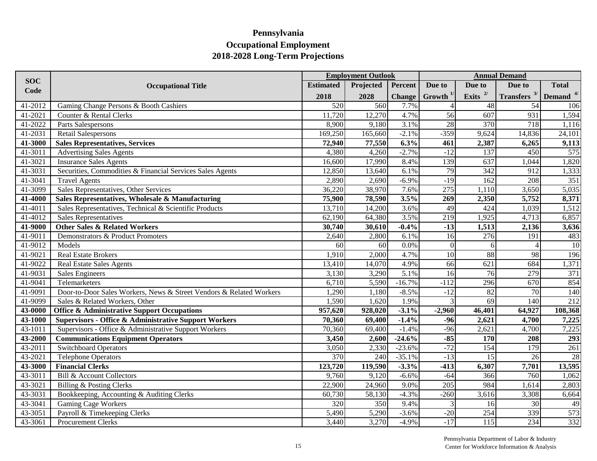|            |                                                                     | <b>Employment Outlook</b> |           |               |                  | <b>Annual Demand</b> |                            |                  |  |
|------------|---------------------------------------------------------------------|---------------------------|-----------|---------------|------------------|----------------------|----------------------------|------------------|--|
| <b>SOC</b> | <b>Occupational Title</b>                                           | <b>Estimated</b>          | Projected | Percent       | Due to           | Due to               | Due to                     | <b>Total</b>     |  |
| Code       |                                                                     | 2018                      | 2028      | <b>Change</b> | Growth $^{1/}$   | Exits $2/$           | Transfers $3/$ Demand $4/$ |                  |  |
| 41-2012    | Gaming Change Persons & Booth Cashiers                              | 520                       | 560       | 7.7%          |                  | 48                   | 54                         | 106              |  |
| 41-2021    | Counter & Rental Clerks                                             | 11,720                    | 12,270    | 4.7%          | 56               | 607                  | 931                        | 1,594            |  |
| 41-2022    | Parts Salespersons                                                  | 8,900                     | 9,180     | 3.1%          | 28               | 370                  | 718                        | 1,116            |  |
| 41-2031    | <b>Retail Salespersons</b>                                          | 169,250                   | 165,660   | $-2.1%$       | $-359$           | 9,624                | 14,836                     | 24,101           |  |
| 41-3000    | <b>Sales Representatives, Services</b>                              | 72,940                    | 77,550    | 6.3%          | 461              | 2,387                | 6,265                      | 9,113            |  |
| 41-3011    | <b>Advertising Sales Agents</b>                                     | 4,380                     | 4,260     | $-2.7%$       | $-12$            | 137                  | 450                        | 575              |  |
| 41-3021    | <b>Insurance Sales Agents</b>                                       | 16,600                    | 17,990    | 8.4%          | 139              | 637                  | 1,044                      | 1,820            |  |
| 41-3031    | Securities, Commodities & Financial Services Sales Agents           | 12,850                    | 13,640    | 6.1%          | 79               | 342                  | 912                        | 1,333            |  |
| 41-3041    | <b>Travel Agents</b>                                                | 2,890                     | 2,690     | $-6.9%$       | $-19$            | 162                  | 208                        | 351              |  |
| 41-3099    | Sales Representatives, Other Services                               | 36,220                    | 38,970    | 7.6%          | 275              | 1,110                | 3,650                      | 5,035            |  |
| 41-4000    | Sales Representatives, Wholesale & Manufacturing                    | 75,900                    | 78,590    | 3.5%          | $\overline{269}$ | 2,350                | 5,752                      | 8,371            |  |
| 41-4011    | Sales Representatives, Technical & Scientific Products              | 13,710                    | 14,200    | 3.6%          | 49               | 424                  | 1,039                      | 1,512            |  |
| 41-4012    | Sales Representatives                                               | 62,190                    | 64,380    | 3.5%          | 219              | 1,925                | 4,713                      | 6,857            |  |
| 41-9000    | <b>Other Sales &amp; Related Workers</b>                            | 30,740                    | 30,610    | $-0.4%$       | $-13$            | 1,513                | 2,136                      | 3,636            |  |
| 41-9011    | Demonstrators & Product Promoters                                   | 2,640                     | 2,800     | 6.1%          | 16               | 276                  | 191                        | 483              |  |
| 41-9012    | Models                                                              | 60                        | 60        | 0.0%          | $\vert$ 0        | 6                    | $\Lambda$                  | 10               |  |
| 41-9021    | Real Estate Brokers                                                 | 1,910                     | 2,000     | 4.7%          | $\overline{10}$  | 88                   | 98                         | 196              |  |
| 41-9022    | <b>Real Estate Sales Agents</b>                                     | 13,410                    | 14,070    | 4.9%          | 66               | 621                  | 684                        | 1,371            |  |
| 41-9031    | <b>Sales Engineers</b>                                              | 3,130                     | 3,290     | 5.1%          | $\overline{16}$  | $\overline{76}$      | 279                        | $\overline{371}$ |  |
| 41-9041    | Telemarketers                                                       | 6,710                     | 5,590     | $-16.7%$      | $-112$           | 296                  | 670                        | 854              |  |
| 41-9091    | Door-to-Door Sales Workers, News & Street Vendors & Related Workers | 1,290                     | 1,180     | $-8.5%$       | $-12$            | $\overline{82}$      | 70                         | 140              |  |
| 41-9099    | Sales & Related Workers, Other                                      | 1,590                     | 1,620     | 1.9%          |                  | 69                   | 140                        | 212              |  |
| 43-0000    | <b>Office &amp; Administrative Support Occupations</b>              | 957,620                   | 928,020   | $-3.1%$       | $-2,960$         | 46,401               | 64,927                     | 108,368          |  |
| 43-1000    | <b>Supervisors - Office &amp; Administrative Support Workers</b>    | 70,360                    | 69,400    | $-1.4%$       | $-96$            | 2,621                | 4,700                      | 7,225            |  |
| 43-1011    | Supervisors - Office & Administrative Support Workers               | 70,360                    | 69,400    | $-1.4%$       | $-96$            | 2,621                | 4,700                      | 7,225            |  |
| 43-2000    | <b>Communications Equipment Operators</b>                           | 3,450                     | 2,600     | $-24.6%$      | $-85$            | 170                  | 208                        | 293              |  |
| 43-2011    | <b>Switchboard Operators</b>                                        | 3,050                     | 2,330     | $-23.6%$      | $-72$            | 154                  | 179                        | 261              |  |
| 43-2021    | <b>Telephone Operators</b>                                          | 370                       | 240       | $-35.1%$      | $-13$            | 15                   | 26                         | 28               |  |
| 43-3000    | <b>Financial Clerks</b>                                             | 123,720                   | 119,590   | $-3.3%$       | $-413$           | 6,307                | 7,701                      | 13,595           |  |
| 43-3011    | <b>Bill &amp; Account Collectors</b>                                | 9,760                     | 9,120     | $-6.6%$       | $-64$            | 366                  | 760                        | 1,062            |  |
| 43-3021    | Billing & Posting Clerks                                            | 22,900                    | 24,960    | 9.0%          | $\overline{205}$ | 984                  | 1,614                      | 2,803            |  |
| 43-3031    | Bookkeeping, Accounting & Auditing Clerks                           | 60,730                    | 58,130    | $-4.3%$       | $-260$           | 3,616                | 3,308                      | 6,664            |  |
| 43-3041    | <b>Gaming Cage Workers</b>                                          | 320                       | 350       | 9.4%          |                  | 16                   | 30                         | 49               |  |
| 43-3051    | Payroll & Timekeeping Clerks                                        | 5,490                     | 5,290     | $-3.6%$       | $-20$            | 254                  | 339                        | 573              |  |
| 43-3061    | <b>Procurement Clerks</b>                                           | 3,440                     | 3,270     | $-4.9%$       | $-17$            | 115                  | 234                        | 332              |  |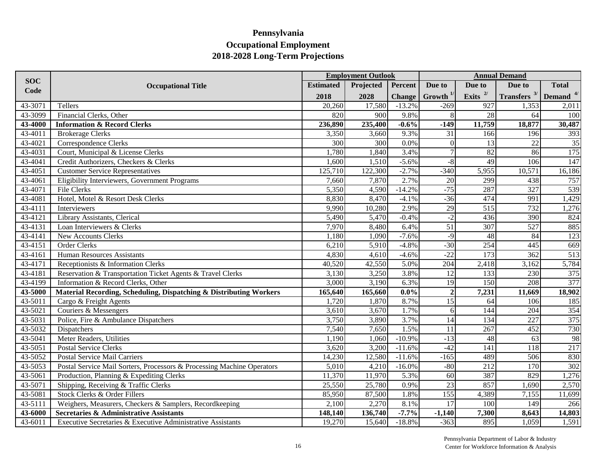|             |                                                                        |                  | <b>Employment Outlook</b> |               |                 |                  | <b>Annual Demand</b>       |              |
|-------------|------------------------------------------------------------------------|------------------|---------------------------|---------------|-----------------|------------------|----------------------------|--------------|
| <b>SOC</b>  | <b>Occupational Title</b>                                              | <b>Estimated</b> | Projected                 | Percent       | Due to          | Due to           | Due to                     | <b>Total</b> |
| Code        |                                                                        | 2018             | 2028                      | <b>Change</b> | Growth $1/$     | Exits $^{2/}$    | Transfers $3/$ Demand $4/$ |              |
| 43-3071     | Tellers                                                                | 20,260           | 17,580                    | $-13.2%$      | $-269$          | 927              | 1,353                      | 2,011        |
| 43-3099     | Financial Clerks, Other                                                | 820              | 900                       | 9.8%          |                 | 28               | 64                         | 100          |
| 43-4000     | <b>Information &amp; Record Clerks</b>                                 | 236,890          | 235,400                   | $-0.6%$       | $-149$          | 11,759           | 18,877                     | 30,487       |
| 43-4011     | <b>Brokerage Clerks</b>                                                | 3,350            | 3,660                     | 9.3%          | 31              | 166              | 196                        | 393          |
| 43-4021     | Correspondence Clerks                                                  | 300              | 300                       | 0.0%          | $\theta$        | 13               | 22                         | 35           |
| 43-4031     | Court, Municipal & License Clerks                                      | 1,780            | 1,840                     | 3.4%          | $\overline{7}$  | 82               | 86                         | 175          |
| 43-4041     | Credit Authorizers, Checkers & Clerks                                  | 1,600            | 1,510                     | $-5.6%$       | $-8$            | 49               | 106                        | 147          |
| 43-4051     | <b>Customer Service Representatives</b>                                | 125,710          | 122,300                   | $-2.7%$       | $-340$          | 5,955            | 10,571                     | 16,186       |
| 43-4061     | Eligibility Interviewers, Government Programs                          | 7,660            | 7,870                     | 2.7%          | 20              | 299              | 438                        | 757          |
| 43-4071     | File Clerks                                                            | 5,350            | 4,590                     | $-14.2%$      | $-75$           | 287              | 327                        | 539          |
| 43-4081     | Hotel, Motel & Resort Desk Clerks                                      | 8,830            | 8,470                     | $-4.1%$       | $-36$           | 474              | 991                        | 1,429        |
| 43-4111     | Interviewers                                                           | 9,990            | 10,280                    | 2.9%          | $\overline{29}$ | $\overline{515}$ | 732                        | 1,276        |
| 43-4121     | Library Assistants, Clerical                                           | 5,490            | 5,470                     | $-0.4%$       | $-2$            | 436              | 390                        | 824          |
| 43-4131     | Loan Interviewers & Clerks                                             | 7,970            | 8,480                     | 6.4%          | $\overline{51}$ | 307              | 527                        | 885          |
| 43-4141     | New Accounts Clerks                                                    | 1,180            | 1,090                     | $-7.6%$       | $-9$            | 48               | 84                         | 123          |
| $43 - 4151$ | Order Clerks                                                           | 6,210            | 5,910                     | $-4.8%$       | $-30$           | 254              | 445                        | 669          |
| $43 - 4161$ | <b>Human Resources Assistants</b>                                      | 4,830            | 4,610                     | $-4.6%$       | $-22$           | 173              | 362                        | 513          |
| $43 - 4171$ | Receptionists & Information Clerks                                     | 40,520           | 42,550                    | 5.0%          | 204             | 2,418            | 3,162                      | 5,784        |
| 43-4181     | Reservation & Transportation Ticket Agents & Travel Clerks             | 3,130            | 3,250                     | 3.8%          | 12              | 133              | 230                        | 375          |
| 43-4199     | Information & Record Clerks, Other                                     | 3,000            | 3,190                     | 6.3%          | 19              | 150              | 208                        | 377          |
| 43-5000     | Material Recording, Scheduling, Dispatching & Distributing Workers     | 165,640          | 165,660                   | $0.0\%$       | $\overline{2}$  | 7,231            | 11,669                     | 18,902       |
| 43-5011     | Cargo & Freight Agents                                                 | 1,720            | 1,870                     | 8.7%          | $\overline{15}$ | 64               | 106                        | 185          |
| 43-5021     | Couriers & Messengers                                                  | 3,610            | 3,670                     | 1.7%          | 6               | 144              | 204                        | 354          |
| 43-5031     | Police, Fire & Ambulance Dispatchers                                   | 3,750            | 3,890                     | 3.7%          | 14              | 134              | 227                        | 375          |
| 43-5032     | Dispatchers                                                            | 7,540            | 7,650                     | 1.5%          | 11              | 267              | 452                        | 730          |
| 43-5041     | Meter Readers, Utilities                                               | 1,190            | 1,060                     | $-10.9%$      | $-13$           | 48               | 63                         | 98           |
| 43-5051     | <b>Postal Service Clerks</b>                                           | 3,620            | 3,200                     | $-11.6%$      | $-42$           | $\overline{141}$ | 118                        | 217          |
| 43-5052     | <b>Postal Service Mail Carriers</b>                                    | 14,230           | 12,580                    | $-11.6%$      | $-165$          | 489              | 506                        | 830          |
| 43-5053     | Postal Service Mail Sorters, Processors & Processing Machine Operators | 5,010            | 4,210                     | $-16.0%$      | $-80$           | 212              | 170                        | 302          |
| 43-5061     | Production, Planning & Expediting Clerks                               | 11,370           | 11,970                    | 5.3%          | 60              | 387              | 829                        | 1,276        |
| 43-5071     | Shipping, Receiving & Traffic Clerks                                   | 25,550           | 25,780                    | 0.9%          | 23              | 857              | 1,690                      | 2,570        |
| $43 - 5081$ | Stock Clerks & Order Fillers                                           | 85,950           | 87,500                    | 1.8%          | 155             | 4,389            | 7,155                      | 11,699       |
| 43-5111     | Weighers, Measurers, Checkers & Samplers, Recordkeeping                | 2,100            | 2,270                     | 8.1%          | $\overline{17}$ | 100              | 149                        | 266          |
| 43-6000     | <b>Secretaries &amp; Administrative Assistants</b>                     | 148,140          | 136,740                   | $-7.7%$       | $-1,140$        | 7,300            | 8,643                      | 14,803       |
| 43-6011     | Executive Secretaries & Executive Administrative Assistants            | 19,270           | 15,640                    | $-18.8%$      | $-363$          | 895              | 1,059                      | 1,591        |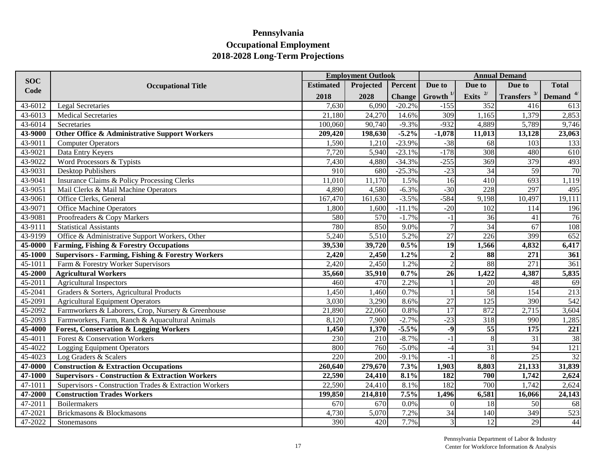|            |                                                              |                  | <b>Employment Outlook</b> |               |                    |                 | <b>Annual Demand</b>  |              |
|------------|--------------------------------------------------------------|------------------|---------------------------|---------------|--------------------|-----------------|-----------------------|--------------|
| <b>SOC</b> | <b>Occupational Title</b>                                    | <b>Estimated</b> | Projected                 | Percent       | Due to             | Due to          | Due to                | <b>Total</b> |
| Code       |                                                              | 2018             | 2028                      | <b>Change</b> | $G$ rowth $^{1/2}$ | Exits $^{2/}$   | <b>Transfers</b> $3/$ | Demand $4/$  |
| 43-6012    | <b>Legal Secretaries</b>                                     | 7,630            | 6,090                     | $-20.2%$      | $-155$             | 352             | 416                   | 613          |
| 43-6013    | <b>Medical Secretaries</b>                                   | 21,180           | 24,270                    | 14.6%         | 309                | 1,165           | 1,379                 | 2,853        |
| 43-6014    | Secretaries                                                  | 100,060          | 90,740                    | $-9.3%$       | $-932$             | 4,889           | 5,789                 | 9,746        |
| 43-9000    | Other Office & Administrative Support Workers                | 209,420          | 198,630                   | $-5.2%$       | $-1,078$           | 11,013          | 13,128                | 23,063       |
| 43-9011    | <b>Computer Operators</b>                                    | 1,590            | 1,210                     | $-23.9%$      | $-38$              | 68              | 103                   | 133          |
| 43-9021    | Data Entry Keyers                                            | 7,720            | 5,940                     | $-23.1%$      | $-178$             | 308             | 480                   | 610          |
| 43-9022    | Word Processors & Typists                                    | 7,430            | 4,880                     | $-34.3%$      | $-255$             | 369             | 379                   | 493          |
| 43-9031    | Desktop Publishers                                           | 910              | 680                       | $-25.3%$      | $-23$              | 34              | 59                    | 70           |
| 43-9041    | Insurance Claims & Policy Processing Clerks                  | 11,010           | 11,170                    | 1.5%          | 16                 | 410             | 693                   | 1,119        |
| 43-9051    | Mail Clerks & Mail Machine Operators                         | 4,890            | 4,580                     | $-6.3%$       | $-30$              | 228             | 297                   | 495          |
| 43-9061    | Office Clerks, General                                       | 167,470          | 161,630                   | $-3.5%$       | $-584$             | 9,198           | 10,497                | 19,111       |
| 43-9071    | <b>Office Machine Operators</b>                              | 1,800            | 1,600                     | $-11.1%$      | $-20$              | 102             | 114                   | 196          |
| 43-9081    | Proofreaders & Copy Markers                                  | 580              | 570                       | $-1.7%$       | $-1$               | 36              | 41                    | 76           |
| 43-9111    | <b>Statistical Assistants</b>                                | 780              | 850                       | 9.0%          | $\overline{7}$     | 34              | $\overline{67}$       | 108          |
| 43-9199    | Office & Administrative Support Workers, Other               | 5,240            | 5,510                     | 5.2%          | 27                 | 226             | 399                   | 652          |
| 45-0000    | <b>Farming, Fishing &amp; Forestry Occupations</b>           | 39,530           | 39,720                    | 0.5%          | $\overline{19}$    | 1,566           | 4,832                 | 6,417        |
| 45-1000    | <b>Supervisors - Farming, Fishing &amp; Forestry Workers</b> | 2,420            | 2,450                     | 1.2%          |                    | 88              | 271                   | 361          |
| 45-1011    | Farm & Forestry Worker Supervisors                           | 2,420            | 2,450                     | 1.2%          |                    | 88              | $\overline{271}$      | 361          |
| 45-2000    | <b>Agricultural Workers</b>                                  | 35,660           | 35,910                    | 0.7%          | $\overline{26}$    | 1,422           | 4,387                 | 5,835        |
| 45-2011    | <b>Agricultural Inspectors</b>                               | 460              | 470                       | 2.2%          |                    | $\overline{20}$ | 48                    | 69           |
| 45-2041    | Graders & Sorters, Agricultural Products                     | 1,450            | 1,460                     | 0.7%          |                    | 58              | 154                   | 213          |
| 45-2091    | <b>Agricultural Equipment Operators</b>                      | 3,030            | 3,290                     | 8.6%          | $\overline{27}$    | 125             | 390                   | 542          |
| 45-2092    | Farmworkers & Laborers, Crop, Nursery & Greenhouse           | 21,890           | 22,060                    | 0.8%          | 17                 | 872             | 2,715                 | 3,604        |
| 45-2093    | Farmworkers, Farm, Ranch & Aquacultural Animals              | 8,120            | 7,900                     | $-2.7%$       | $-23$              | 318             | 990                   | 1,285        |
| 45-4000    | <b>Forest, Conservation &amp; Logging Workers</b>            | 1,450            | 1,370                     | $-5.5%$       | $-9$               | 55              | 175                   | 221          |
| 45-4011    | Forest & Conservation Workers                                | 230              | 210                       | $-8.7%$       | -1                 | 8               | $\overline{31}$       | 38           |
| 45-4022    | <b>Logging Equipment Operators</b>                           | 800              | 760                       | $-5.0%$       | $-4$               | $\overline{31}$ | $\overline{94}$       | 121          |
| 45-4023    | Log Graders & Scalers                                        | $\overline{220}$ | 200                       | $-9.1%$       | $-1$               | 8               | $\overline{25}$       | 32           |
| 47-0000    | <b>Construction &amp; Extraction Occupations</b>             | 260,640          | 279,670                   | 7.3%          | 1,903              | 8,803           | 21,133                | 31,839       |
| 47-1000    | <b>Supervisors - Construction &amp; Extraction Workers</b>   | 22,590           | 24,410                    | 8.1%          | 182                | 700             | 1,742                 | 2,624        |
| 47-1011    | Supervisors - Construction Trades & Extraction Workers       | 22,590           | 24,410                    | 8.1%          | 182                | 700             | 1,742                 | 2,624        |
| 47-2000    | <b>Construction Trades Workers</b>                           | 199,850          | 214,810                   | 7.5%          | 1,496              | 6,581           | 16,066                | 24,143       |
| 47-2011    | Boilermakers                                                 | 670              | 670                       | 0.0%          | $\Omega$           | 18              | 50                    | 68           |
| 47-2021    | Brickmasons & Blockmasons                                    | 4,730            | 5,070                     | 7.2%          | 34                 | 140             | 349                   | 523          |
| 47-2022    | Stonemasons                                                  | 390              | 420                       | 7.7%          |                    | $\overline{12}$ | 29                    | 44           |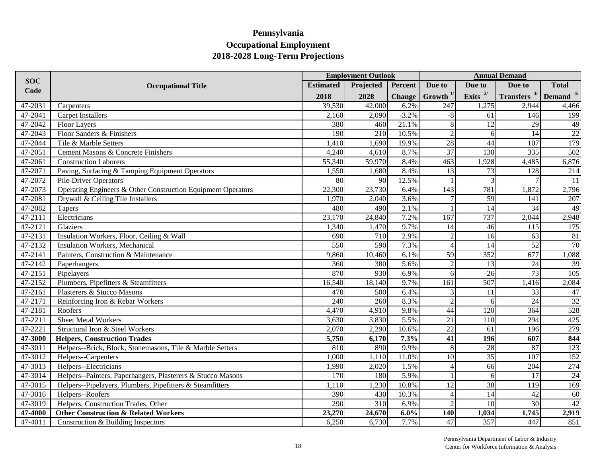|            | <b>Employment Outlook</b>                                    |                  |           |               |                 |                 | <b>Annual Demand</b>       |                 |  |  |  |  |
|------------|--------------------------------------------------------------|------------------|-----------|---------------|-----------------|-----------------|----------------------------|-----------------|--|--|--|--|
| <b>SOC</b> | <b>Occupational Title</b>                                    | <b>Estimated</b> | Projected | Percent       | Due to          | Due to          | Due to                     | <b>Total</b>    |  |  |  |  |
| Code       |                                                              | 2018             | 2028      | <b>Change</b> | Growth $^{1/2}$ | Exits $^{2/}$   | Transfers $3/$ Demand $4/$ |                 |  |  |  |  |
| 47-2031    | Carpenters                                                   | 39,530           | 42,000    | 6.2%          | 247             | 1,275           | 2,944                      | 4,466           |  |  |  |  |
| 47-2041    | <b>Carpet Installers</b>                                     | 2,160            | 2,090     | $-3.2%$       | $-8$            | 61              | 146                        | 199             |  |  |  |  |
| 47-2042    | <b>Floor Layers</b>                                          | 380              | 460       | 21.1%         |                 | 12              | 29                         | 49              |  |  |  |  |
| 47-2043    | Floor Sanders & Finishers                                    | 190              | 210       | 10.5%         | $\mathcal{D}$   | 6               | 14                         | 22              |  |  |  |  |
| 47-2044    | Tile & Marble Setters                                        | 1,410            | 1,690     | 19.9%         | 28              | 44              | 107                        | 179             |  |  |  |  |
| 47-2051    | Cement Masons & Concrete Finishers                           | 4,240            | 4,610     | 8.7%          | 37              | 130             | 335                        | 502             |  |  |  |  |
| 47-2061    | Construction Laborers                                        | 55,340           | 59,970    | 8.4%          | 463             | 1,928           | 4,485                      | 6,876           |  |  |  |  |
| 47-2071    | Paving, Surfacing & Tamping Equipment Operators              | 1,550            | 1,680     | 8.4%          | 13              | 73              | 128                        | 214             |  |  |  |  |
| 47-2072    | <b>Pile-Driver Operators</b>                                 | 80               | 90        | 12.5%         |                 | 3               |                            | 11              |  |  |  |  |
| 47-2073    | Operating Engineers & Other Construction Equipment Operators | 22,300           | 23,730    | 6.4%          | 143             | 781             | 1,872                      | 2,796           |  |  |  |  |
| 47-2081    | Drywall & Ceiling Tile Installers                            | 1,970            | 2,040     | 3.6%          |                 | $\overline{59}$ | 141                        | 207             |  |  |  |  |
| 47-2082    | Tapers                                                       | 480              | 490       | 2.1%          |                 | 14              | 34                         | 49              |  |  |  |  |
| 47-2111    | Electricians                                                 | 23,170           | 24,840    | 7.2%          | 167             | 737             | 2,044                      | 2,948           |  |  |  |  |
| 47-2121    | Glaziers                                                     | 1,340            | 1,470     | 9.7%          | 14              | 46              | 115                        | 175             |  |  |  |  |
| 47-2131    | Insulation Workers, Floor, Ceiling & Wall                    | 690              | 710       | 2.9%          |                 | 16              | 63                         | 81              |  |  |  |  |
| 47-2132    | <b>Insulation Workers, Mechanical</b>                        | 550              | 590       | 7.3%          | $\Delta$        | 14              | 52                         | $\overline{70}$ |  |  |  |  |
| 47-2141    | Painters, Construction & Maintenance                         | 9,860            | 10,460    | 6.1%          | 59              | 352             | 677                        | 1,088           |  |  |  |  |
| 47-2142    | Paperhangers                                                 | 360              | 380       | 5.6%          |                 | 13              | 24                         | 39              |  |  |  |  |
| 47-2151    | Pipelayers                                                   | 870              | 930       | 6.9%          | 6               | $\overline{26}$ | $\overline{73}$            | 105             |  |  |  |  |
| 47-2152    | Plumbers, Pipefitters & Steamfitters                         | 16,540           | 18,140    | 9.7%          | 161             | 507             | 1,416                      | 2,084           |  |  |  |  |
| 47-2161    | Plasterers & Stucco Masons                                   | 470              | 500       | 6.4%          |                 | 11              | 33                         | $47\,$          |  |  |  |  |
| 47-2171    | Reinforcing Iron & Rebar Workers                             | 240              | 260       | 8.3%          | $\mathcal{D}$   | 6               | 24                         | 32              |  |  |  |  |
| 47-2181    | Roofers                                                      | 4,470            | 4,910     | 9.8%          | 44              | 120             | 364                        | 528             |  |  |  |  |
| 47-2211    | <b>Sheet Metal Workers</b>                                   | 3,630            | 3,830     | 5.5%          | $\overline{21}$ | 110             | 294                        | 425             |  |  |  |  |
| 47-2221    | Structural Iron & Steel Workers                              | 2,070            | 2,290     | 10.6%         | $\overline{22}$ | $\overline{61}$ | 196                        | 279             |  |  |  |  |
| 47-3000    | <b>Helpers, Construction Trades</b>                          | 5,750            | 6,170     | 7.3%          | 41              | 196             | 607                        | 844             |  |  |  |  |
| 47-3011    | Helpers--Brick, Block, Stonemasons, Tile & Marble Setters    | 810              | 890       | 9.9%          |                 | $\overline{28}$ | 87                         | 123             |  |  |  |  |
| 47-3012    | Helpers--Carpenters                                          | 1,000            | 1,110     | 11.0%         | 10              | 35              | 107                        | 152             |  |  |  |  |
| 47-3013    | Helpers--Electricians                                        | 1,990            | 2,020     | 1.5%          |                 | 66              | 204                        | 274             |  |  |  |  |
| 47-3014    | Helpers--Painters, Paperhangers, Plasterers & Stucco Masons  | 170              | 180       | 5.9%          |                 | 6               | 17                         | 24              |  |  |  |  |
| 47-3015    | Helpers--Pipelayers, Plumbers, Pipefitters & Steamfitters    | 1,110            | 1,230     | 10.8%         | 12              | 38              | 119                        | 169             |  |  |  |  |
| 47-3016    | Helpers--Roofers                                             | 390              | 430       | 10.3%         | $\Delta$        | 14              | 42                         | 60              |  |  |  |  |
| 47-3019    | Helpers, Construction Trades, Other                          | 290              | 310       | 6.9%          | $\bigcirc$      | 10 <sup>1</sup> | 30                         | 42              |  |  |  |  |
| 47-4000    | <b>Other Construction &amp; Related Workers</b>              | 23,270           | 24,670    | 6.0%          | 140             | 1,034           | 1,745                      | 2,919           |  |  |  |  |
| 47-4011    | Construction & Building Inspectors                           | 6,250            | 6,730     | 7.7%          | 47              | 357             | 447                        | 851             |  |  |  |  |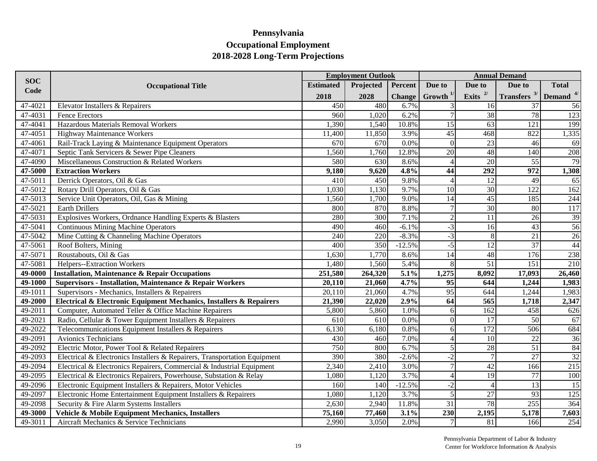|             |                                                                           |                  | <b>Employment Outlook</b> |               |                          |                  | <b>Annual Demand</b> |              |
|-------------|---------------------------------------------------------------------------|------------------|---------------------------|---------------|--------------------------|------------------|----------------------|--------------|
| <b>SOC</b>  | <b>Occupational Title</b>                                                 | <b>Estimated</b> | Projected                 | Percent       | Due to                   | Due to           | Due to               | <b>Total</b> |
| Code        |                                                                           | 2018             | 2028                      | <b>Change</b> | Growth $1$               | Exits $^{2/}$    | Transfers $3/$       | Demand $4/$  |
| 47-4021     | Elevator Installers & Repairers                                           | 450              | 480                       | 6.7%          |                          | 16               | 37                   | 56           |
| 47-4031     | <b>Fence Erectors</b>                                                     | 960              | 1,020                     | 6.2%          | $\overline{7}$           | 38               | 78                   | 123          |
| 47-4041     | Hazardous Materials Removal Workers                                       | 1,390            | 1,540                     | 10.8%         | 15                       | 63               | 121                  | 199          |
| 47-4051     | <b>Highway Maintenance Workers</b>                                        | 11,400           | 11,850                    | 3.9%          | 45                       | 468              | 822                  | 1,335        |
| 47-4061     | Rail-Track Laying & Maintenance Equipment Operators                       | 670              | 670                       | 0.0%          | $\overline{0}$           | 23               | 46                   | 69           |
| 47-4071     | Septic Tank Servicers & Sewer Pipe Cleaners                               | 1,560            | 1,760                     | 12.8%         | $\overline{20}$          | 48               | 140                  | 208          |
| 47-4090     | Miscellaneous Construction & Related Workers                              | 580              | 630                       | 8.6%          | $\overline{4}$           | $\overline{20}$  | 55                   | 79           |
| 47-5000     | <b>Extraction Workers</b>                                                 | 9,180            | 9,620                     | 4.8%          | 44                       | 292              | 972                  | 1,308        |
| 47-5011     | Derrick Operators, Oil & Gas                                              | 410              | 450                       | 9.8%          | $\overline{\mathcal{A}}$ | 12               | 49                   | 65           |
| 47-5012     | Rotary Drill Operators, Oil & Gas                                         | 1,030            | 1,130                     | 9.7%          | 10                       | $\overline{30}$  | 122                  | 162          |
| 47-5013     | Service Unit Operators, Oil, Gas & Mining                                 | 1,560            | 1,700                     | 9.0%          | 14                       | 45               | 185                  | 244          |
| 47-5021     | <b>Earth Drillers</b>                                                     | 800              | 870                       | 8.8%          |                          | 30               | 80                   | 117          |
| 47-5031     | Explosives Workers, Ordnance Handling Experts & Blasters                  | 280              | 300                       | 7.1%          | $\overline{2}$           | 11               | 26                   | 39           |
| 47-5041     | <b>Continuous Mining Machine Operators</b>                                | 490              | 460                       | $-6.1%$       | $-3$                     | 16               | 43                   | 56           |
| 47-5042     | Mine Cutting & Channeling Machine Operators                               | 240              | 220                       | $-8.3%$       | $-3$                     | 8                | 21                   | 26           |
| 47-5061     | Roof Bolters, Mining                                                      | 400              | 350                       | $-12.5%$      | $-5$                     | 12               | $\overline{37}$      | 44           |
| $47 - 5071$ | Roustabouts, Oil & Gas                                                    | 1,630            | 1,770                     | 8.6%          | 14                       | 48               | 176                  | 238          |
| 47-5081     | Helpers--Extraction Workers                                               | 1,480            | 1,560                     | 5.4%          | 8                        | 51               | 151                  | 210          |
| 49-0000     | <b>Installation, Maintenance &amp; Repair Occupations</b>                 | 251,580          | 264,320                   | 5.1%          | 1,275                    | 8,092            | 17,093               | 26,460       |
| 49-1000     | <b>Supervisors - Installation, Maintenance &amp; Repair Workers</b>       | 20,110           | 21,060                    | 4.7%          | $\overline{95}$          | 644              | 1,244                | 1,983        |
| 49-1011     | Supervisors - Mechanics, Installers & Repairers                           | 20,110           | 21,060                    | 4.7%          | $\overline{95}$          | 644              | 1,244                | 1,983        |
| 49-2000     | Electrical & Electronic Equipment Mechanics, Installers & Repairers       | 21,390           | 22,020                    | 2.9%          | $\overline{64}$          | $\overline{565}$ | 1,718                | 2,347        |
| 49-2011     | Computer, Automated Teller & Office Machine Repairers                     | 5,800            | 5,860                     | 1.0%          | 6                        | 162              | 458                  | 626          |
| 49-2021     | Radio, Cellular & Tower Equipment Installers & Repairers                  | 610              | 610                       | 0.0%          | $\Omega$                 | 17               | 50                   | 67           |
| 49-2022     | Telecommunications Equipment Installers & Repairers                       | 6,130            | 6,180                     | 0.8%          | 6                        | 172              | $\overline{506}$     | 684          |
| 49-2091     | Avionics Technicians                                                      | 430              | 460                       | 7.0%          | $\overline{\mathcal{A}}$ | 10 <sup>1</sup>  | 22                   | 36           |
| 49-2092     | Electric Motor, Power Tool & Related Repairers                            | 750              | 800                       | 6.7%          | 5                        | 28               | $\overline{51}$      | 84           |
| 49-2093     | Electrical & Electronics Installers & Repairers, Transportation Equipment | 390              | 380                       | $-2.6%$       | $-2$                     | $\overline{7}$   | $\overline{27}$      | 32           |
| 49-2094     | Electrical & Electronics Repairers, Commercial & Industrial Equipment     | 2,340            | 2,410                     | 3.0%          | $\overline{7}$           | $\overline{42}$  | 166                  | 215          |
| 49-2095     | Electrical & Electronics Repairers, Powerhouse, Substation & Relay        | 1,080            | 1,120                     | 3.7%          | $\overline{A}$           | $\overline{19}$  | $\overline{77}$      | 100          |
| 49-2096     | Electronic Equipment Installers & Repairers, Motor Vehicles               | 160              | 140                       | $-12.5%$      | $-2$                     | $\overline{4}$   | 13                   | 15           |
| 49-2097     | Electronic Home Entertainment Equipment Installers & Repairers            | 1,080            | 1,120                     | 3.7%          | 5                        | 27               | 93                   | 125          |
| 49-2098     | Security & Fire Alarm Systems Installers                                  | 2,630            | 2,940                     | 11.8%         | $\overline{31}$          | 78               | 255                  | 364          |
| 49-3000     | Vehicle & Mobile Equipment Mechanics, Installers                          | 75,160           | 77,460                    | 3.1%          | $\overline{230}$         | 2,195            | 5,178                | 7,603        |
| 49-3011     | Aircraft Mechanics & Service Technicians                                  | 2,990            | 3,050                     | 2.0%          |                          | 81               | 166                  | 254          |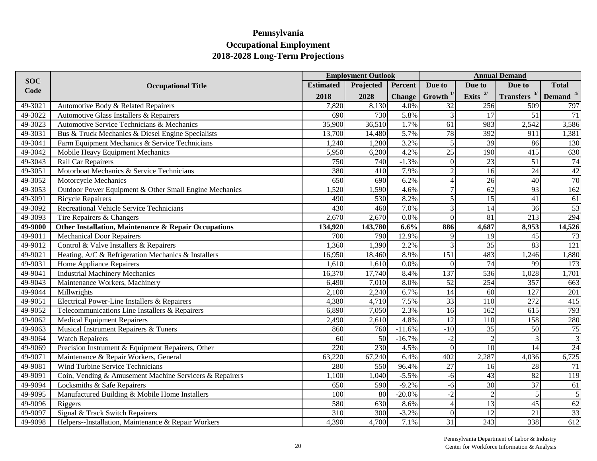|             |                                                         |                  | <b>Employment Outlook</b> |               |                 |                 | <b>Annual Demand</b>       |                |
|-------------|---------------------------------------------------------|------------------|---------------------------|---------------|-----------------|-----------------|----------------------------|----------------|
| <b>SOC</b>  | <b>Occupational Title</b>                               | <b>Estimated</b> | Projected                 | Percent       | Due to          | Due to          | Due to                     | <b>Total</b>   |
| Code        |                                                         | 2018             | 2028                      | <b>Change</b> | Growth $^{1/}$  | Exits $^{2/}$   | Transfers $3/$ Demand $4/$ |                |
| 49-3021     | Automotive Body & Related Repairers                     | 7,820            | 8,130                     | 4.0%          | 32              | 256             | 509                        | 797            |
| 49-3022     | Automotive Glass Installers & Repairers                 | 690              | 730                       | 5.8%          |                 | 17              | 51                         | 71             |
| 49-3023     | Automotive Service Technicians & Mechanics              | 35,900           | 36,510                    | 1.7%          | 61              | 983             | 2,542                      | 3,586          |
| 49-3031     | Bus & Truck Mechanics & Diesel Engine Specialists       | 13,700           | 14,480                    | 5.7%          | 78              | 392             | 911                        | 1,381          |
| 49-3041     | Farm Equipment Mechanics & Service Technicians          | 1,240            | 1,280                     | 3.2%          | 5               | $\overline{39}$ | 86                         | 130            |
| 49-3042     | Mobile Heavy Equipment Mechanics                        | 5,950            | 6,200                     | 4.2%          | $\overline{25}$ | 190             | 415                        | 630            |
| 49-3043     | Rail Car Repairers                                      | 750              | 740                       | $-1.3%$       | $\Omega$        | $\overline{23}$ | $\overline{51}$            | 74             |
| 49-3051     | Motorboat Mechanics & Service Technicians               | 380              | 410                       | 7.9%          | $\overline{2}$  | 16              | 24                         | 42             |
| 49-3052     | Motorcycle Mechanics                                    | 650              | 690                       | 6.2%          | $\Delta$        | $\overline{26}$ | 40                         | 70             |
| 49-3053     | Outdoor Power Equipment & Other Small Engine Mechanics  | 1,520            | 1,590                     | 4.6%          |                 | $\overline{62}$ | 93                         | 162            |
| $49 - 3091$ | <b>Bicycle Repairers</b>                                | 490              | 530                       | 8.2%          | 5               | $\overline{15}$ | 41                         | 61             |
| 49-3092     | Recreational Vehicle Service Technicians                | 430              | 460                       | 7.0%          | 3               | 14              | 36                         | 53             |
| 49-3093     | Tire Repairers & Changers                               | 2,670            | 2,670                     | 0.0%          | $\Omega$        | 81              | 213                        | 294            |
| 49-9000     | Other Installation, Maintenance & Repair Occupations    | 134,920          | 143,780                   | 6.6%          | 886             | 4,687           | 8,953                      | 14,526         |
| 49-9011     | <b>Mechanical Door Repairers</b>                        | 700              | 790                       | 12.9%         | Q               | 19              | 45                         | 73             |
| $49 - 9012$ | Control & Valve Installers & Repairers                  | 1,360            | 1,390                     | 2.2%          | $\mathcal{R}$   | $\overline{35}$ | 83                         | 121            |
| 49-9021     | Heating, A/C & Refrigeration Mechanics & Installers     | 16,950           | 18,460                    | 8.9%          | 151             | 483             | 1,246                      | 1,880          |
| 49-9031     | Home Appliance Repairers                                | 1,610            | 1,610                     | 0.0%          | $\Omega$        | 74              | 99                         | 173            |
| 49-9041     | <b>Industrial Machinery Mechanics</b>                   | 16,370           | 17,740                    | 8.4%          | 137             | 536             | 1,028                      | 1,701          |
| 49-9043     | Maintenance Workers, Machinery                          | 6,490            | 7,010                     | 8.0%          | $\overline{52}$ | 254             | 357                        | 663            |
| 49-9044     | Millwrights                                             | 2,100            | 2,240                     | 6.7%          | $\overline{14}$ | $\overline{60}$ | $\overline{127}$           | 201            |
| 49-9051     | Electrical Power-Line Installers & Repairers            | 4,380            | 4,710                     | 7.5%          | $\overline{33}$ | 110             | 272                        | 415            |
| $49 - 9052$ | Telecommunications Line Installers & Repairers          | 6,890            | 7,050                     | 2.3%          | $\overline{16}$ | 162             | 615                        | 793            |
| 49-9062     | <b>Medical Equipment Repairers</b>                      | 2,490            | 2,610                     | 4.8%          | $\overline{12}$ | 110             | 158                        | 280            |
| 49-9063     | Musical Instrument Repairers & Tuners                   | 860              | 760                       | $-11.6%$      | $-10$           | $\overline{35}$ | 50                         | 75             |
| 49-9064     | <b>Watch Repairers</b>                                  | 60               | 50                        | $-16.7%$      | $-2$            | $\overline{c}$  | 3                          | $\overline{3}$ |
| 49-9069     | Precision Instrument & Equipment Repairers, Other       | 220              | 230                       | 4.5%          | $\Omega$        | $\overline{10}$ | 14                         | 24             |
| 49-9071     | Maintenance & Repair Workers, General                   | 63,220           | 67,240                    | 6.4%          | 402             | 2,287           | 4,036                      | 6,725          |
| 49-9081     | Wind Turbine Service Technicians                        | 280              | 550                       | 96.4%         | 27              | 16              | 28                         | 71             |
| 49-9091     | Coin, Vending & Amusement Machine Servicers & Repairers | 1,100            | 1,040                     | $-5.5%$       | $-6$            | $\overline{43}$ | 82                         | 119            |
| 49-9094     | Locksmiths & Safe Repairers                             | 650              | 590                       | $-9.2%$       | -6              | 30              | $\overline{37}$            | 61             |
| 49-9095     | Manufactured Building & Mobile Home Installers          | 100              | 80                        | $-20.0%$      | $-2$            | $\overline{2}$  | 5                          | 5              |
| 49-9096     | Riggers                                                 | 580              | 630                       | 8.6%          | $\Delta$        | $\overline{13}$ | 45                         | 62             |
| 49-9097     | Signal & Track Switch Repairers                         | 310              | 300                       | $-3.2%$       | $\Omega$        | 12              | 21                         | 33             |
| $49 - 9098$ | Helpers--Installation, Maintenance & Repair Workers     | 4,390            | 4,700                     | 7.1%          | 31              | 243             | 338                        | 612            |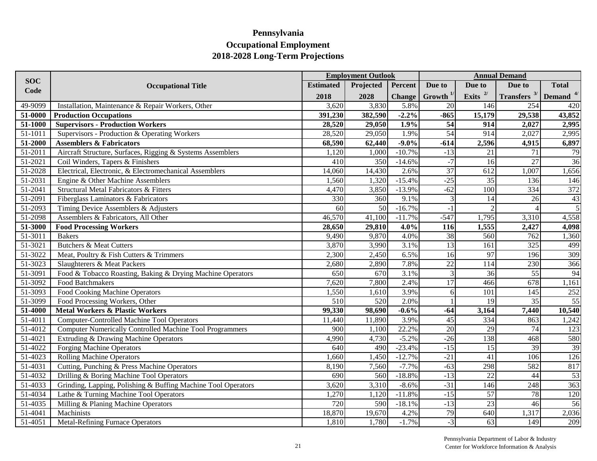|            | <b>Employment Outlook</b>                                       |                  |                  |               |                 |                 | <b>Annual Demand</b>                     |                 |  |  |  |  |
|------------|-----------------------------------------------------------------|------------------|------------------|---------------|-----------------|-----------------|------------------------------------------|-----------------|--|--|--|--|
| <b>SOC</b> | <b>Occupational Title</b>                                       | <b>Estimated</b> | Projected        | Percent       | Due to          | Due to          | Due to                                   | <b>Total</b>    |  |  |  |  |
| Code       |                                                                 | 2018             | 2028             | <b>Change</b> | Growth $1/$     | Exits $^{2/}$   | <b>Transfers</b> $3/$ <b>Demand</b> $4/$ |                 |  |  |  |  |
| 49-9099    | Installation, Maintenance & Repair Workers, Other               | 3,620            | 3,830            | 5.8%          | 20              | 146             | 254                                      | 420             |  |  |  |  |
| 51-0000    | <b>Production Occupations</b>                                   | 391,230          | 382,590          | $-2.2%$       | $-865$          | 15,179          | 29,538                                   | 43,852          |  |  |  |  |
| 51-1000    | <b>Supervisors - Production Workers</b>                         | 28,520           | 29,050           | 1.9%          | $\overline{54}$ | 914             | 2,027                                    | 2,995           |  |  |  |  |
| 51-1011    | Supervisors - Production & Operating Workers                    | 28,520           | 29,050           | 1.9%          | $\overline{54}$ | 914             | 2,027                                    | 2,995           |  |  |  |  |
| 51-2000    | <b>Assemblers &amp; Fabricators</b>                             | 68,590           | 62,440           | $-9.0\%$      | $-614$          | 2,596           | 4,915                                    | 6,897           |  |  |  |  |
| 51-2011    | Aircraft Structure, Surfaces, Rigging & Systems Assemblers      | 1,120            | 1,000            | $-10.7%$      | $-13$           | 21              | 71                                       | 79              |  |  |  |  |
| 51-2021    | Coil Winders, Tapers & Finishers                                | 410              | 350              | $-14.6%$      | $-7$            | 16              | $\overline{27}$                          | 36              |  |  |  |  |
| 51-2028    | Electrical, Electronic, & Electromechanical Assemblers          | 14,060           | 14,430           | 2.6%          | 37              | 612             | 1,007                                    | 1,656           |  |  |  |  |
| 51-2031    | Engine & Other Machine Assemblers                               | 1,560            | 1,320            | $-15.4%$      | $-25$           | 35              | 136                                      | 146             |  |  |  |  |
| 51-2041    | Structural Metal Fabricators & Fitters                          | 4,470            | 3,850            | $-13.9%$      | $-62$           | 100             | 334                                      | 372             |  |  |  |  |
| 51-2091    | Fiberglass Laminators & Fabricators                             | 330              | 360              | 9.1%          |                 | 14              | 26                                       | 43              |  |  |  |  |
| 51-2093    | Timing Device Assemblers & Adjusters                            | 60               | 50               | $-16.7%$      | $-1$            |                 |                                          | $\overline{5}$  |  |  |  |  |
| 51-2098    | Assemblers & Fabricators, All Other                             | 46,570           | 41,100           | $-11.7%$      | $-547$          | 1,795           | 3,310                                    | 4,558           |  |  |  |  |
| 51-3000    | <b>Food Processing Workers</b>                                  | 28,650           | 29,810           | 4.0%          | 116             | 1,555           | 2,427                                    | 4,098           |  |  |  |  |
| 51-3011    | <b>Bakers</b>                                                   | 9,490            | 9,870            | 4.0%          | 38              | 560             | 762                                      | 1,360           |  |  |  |  |
| 51-3021    | <b>Butchers &amp; Meat Cutters</b>                              | 3,870            | 3,990            | 3.1%          | $\overline{13}$ | 161             | 325                                      | 499             |  |  |  |  |
| 51-3022    | Meat, Poultry & Fish Cutters & Trimmers                         | 2,300            | 2,450            | 6.5%          | 16              | 97              | 196                                      | 309             |  |  |  |  |
| 51-3023    | Slaughterers & Meat Packers                                     | 2,680            | 2,890            | 7.8%          | $\overline{22}$ | 114             | 230                                      | 366             |  |  |  |  |
| 51-3091    | Food & Tobacco Roasting, Baking & Drying Machine Operators      | 650              | 670              | 3.1%          | 3               | 36              | $\overline{55}$                          | 94              |  |  |  |  |
| 51-3092    | <b>Food Batchmakers</b>                                         | 7,620            | 7,800            | 2.4%          | $\overline{17}$ | 466             | 678                                      | 1,161           |  |  |  |  |
| 51-3093    | <b>Food Cooking Machine Operators</b>                           | 1,550            | 1,610            | 3.9%          | 6               | 101             | $\overline{145}$                         | 252             |  |  |  |  |
| 51-3099    | Food Processing Workers, Other                                  | 510              | $\overline{520}$ | 2.0%          |                 | $\overline{19}$ | 35                                       | 55              |  |  |  |  |
| 51-4000    | <b>Metal Workers &amp; Plastic Workers</b>                      | 99,330           | 98,690           | $-0.6%$       | $-64$           | 3,164           | 7,440                                    | 10,540          |  |  |  |  |
| 51-4011    | Computer-Controlled Machine Tool Operators                      | 11,440           | 11,890           | 3.9%          | 45              | 334             | 863                                      | 1,242           |  |  |  |  |
| 51-4012    | <b>Computer Numerically Controlled Machine Tool Programmers</b> | $\overline{900}$ | 1,100            | 22.2%         | 20              | 29              | 74                                       | 123             |  |  |  |  |
| 51-4021    | Extruding & Drawing Machine Operators                           | 4,990            | 4,730            | $-5.2%$       | $-26$           | 138             | 468                                      | 580             |  |  |  |  |
| 51-4022    | <b>Forging Machine Operators</b>                                | 640              | 490              | $-23.4%$      | $-15$           | 15              | 39                                       | 39              |  |  |  |  |
| 51-4023    | <b>Rolling Machine Operators</b>                                | 1,660            | 1,450            | $-12.7%$      | $-21$           | 41              | 106                                      | 126             |  |  |  |  |
| 51-4031    | Cutting, Punching & Press Machine Operators                     | 8,190            | 7,560            | $-7.7%$       | $-63$           | 298             | 582                                      | 817             |  |  |  |  |
| 51-4032    | Drilling & Boring Machine Tool Operators                        | 690              | 560              | $-18.8%$      | $-13$           | $\overline{22}$ | 44                                       | $\overline{53}$ |  |  |  |  |
| 51-4033    | Grinding, Lapping, Polishing & Buffing Machine Tool Operators   | 3,620            | 3,310            | $-8.6%$       | $-31$           | 146             | 248                                      | 363             |  |  |  |  |
| 51-4034    | Lathe & Turning Machine Tool Operators                          | 1,270            | 1,120            | $-11.8%$      | $-15$           | $\overline{57}$ | 78                                       | 120             |  |  |  |  |
| 51-4035    | Milling & Planing Machine Operators                             | 720              | 590              | $-18.1%$      | $-13$           | 23              | 46                                       | $\overline{56}$ |  |  |  |  |
| 51-4041    | Machinists                                                      | 18,870           | 19,670           | 4.2%          | 79              | 640             | 1,317                                    | 2,036           |  |  |  |  |
| 51-4051    | <b>Metal-Refining Furnace Operators</b>                         | 1,810            | 1,780            | $-1.7%$       | $-3$            | 63              | 149                                      | 209             |  |  |  |  |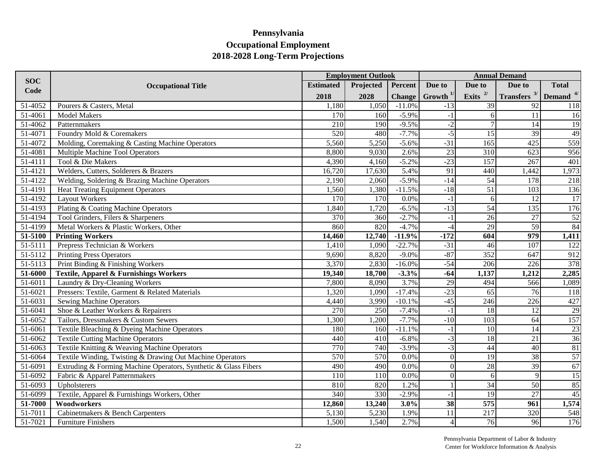|                       |                                                                 |                  | <b>Employment Outlook</b> |               |                 |                  | <b>Annual Demand</b>                     |              |
|-----------------------|-----------------------------------------------------------------|------------------|---------------------------|---------------|-----------------|------------------|------------------------------------------|--------------|
| <b>SOC</b>            | <b>Occupational Title</b>                                       | <b>Estimated</b> | Projected                 | Percent       | Due to          | Due to           | Due to                                   | <b>Total</b> |
| Code                  |                                                                 | 2018             | 2028                      | <b>Change</b> | Growth $1/$     | Exits $^{2/}$    | <b>Transfers</b> $3/$ <b>Demand</b> $4/$ |              |
| 51-4052               | Pourers & Casters, Metal                                        | 1,180            | 1,050                     | $-11.0%$      | $-13$           | 39               | 92                                       | 118          |
| $\overline{51-4061}$  | <b>Model Makers</b>                                             | 170              | 160                       | $-5.9%$       | $-1$            | 6                | 11                                       | 16           |
| $\overline{51}$ -4062 | Patternmakers                                                   | 210              | 190                       | $-9.5%$       | $-2$            | 7                | 14                                       | 19           |
| 51-4071               | Foundry Mold & Coremakers                                       | 520              | 480                       | $-7.7%$       | $-5$            | 15               | 39                                       | 49           |
| 51-4072               | Molding, Coremaking & Casting Machine Operators                 | 5,560            | 5,250                     | $-5.6%$       | $-31$           | 165              | 425                                      | 559          |
| 51-4081               | Multiple Machine Tool Operators                                 | 8,800            | 9,030                     | 2.6%          | $\overline{23}$ | 310              | 623                                      | 956          |
| 51-4111               | Tool & Die Makers                                               | 4,390            | 4,160                     | $-5.2%$       | $-23$           | 157              | 267                                      | 401          |
| 51-4121               | Welders, Cutters, Solderers & Brazers                           | 16,720           | 17,630                    | 5.4%          | 91              | 440              | 1,442                                    | 1,973        |
| 51-4122               | Welding, Soldering & Brazing Machine Operators                  | 2,190            | 2,060                     | $-5.9%$       | $-14$           | 54               | 178                                      | 218          |
| 51-4191               | <b>Heat Treating Equipment Operators</b>                        | 1,560            | 1,380                     | $-11.5%$      | $-18$           | $\overline{51}$  | 103                                      | 136          |
| 51-4192               | <b>Layout Workers</b>                                           | 170              | 170                       | 0.0%          | $-1$            | $\vert 6 \vert$  | 12                                       | 17           |
| 51-4193               | Plating & Coating Machine Operators                             | 1,840            | 1,720                     | $-6.5%$       | $-13$           | 54               | 135                                      | 176          |
| 51-4194               | Tool Grinders, Filers & Sharpeners                              | 370              | 360                       | $-2.7%$       | $-1$            | $\overline{26}$  | 27                                       | 52           |
| 51-4199               | Metal Workers & Plastic Workers, Other                          | 860              | 820                       | $-4.7%$       | $-4$            | 29               | 59                                       | 84           |
| 51-5100               | <b>Printing Workers</b>                                         | 14,460           | 12,740                    | $-11.9%$      | $-172$          | 604              | 979                                      | 1,411        |
| 51-5111               | Prepress Technician & Workers                                   | 1,410            | 1,090                     | $-22.7%$      | $-31$           | 46               | 107                                      | 122          |
| 51-5112               | <b>Printing Press Operators</b>                                 | 9,690            | 8,820                     | $-9.0%$       | $-87$           | 352              | 647                                      | 912          |
| 51-5113               | Print Binding & Finishing Workers                               | 3,370            | 2,830                     | $-16.0%$      | $-54$           | 206              | 226                                      | 378          |
| 51-6000               | <b>Textile, Apparel &amp; Furnishings Workers</b>               | 19,340           | 18,700                    | $-3.3%$       | $-64$           | 1,137            | 1,212                                    | 2,285        |
| 51-6011               | Laundry & Dry-Cleaning Workers                                  | 7,800            | 8,090                     | 3.7%          | $\overline{29}$ | 494              | 566                                      | 1,089        |
| 51-6021               | Pressers: Textile, Garment & Related Materials                  | 1,320            | 1,090                     | $-17.4%$      | $-23$           | 65               | 76                                       | 118          |
| 51-6031               | <b>Sewing Machine Operators</b>                                 | 4,440            | 3,990                     | $-10.1%$      | $-45$           | $\overline{246}$ | 226                                      | 427          |
| 51-6041               | Shoe & Leather Workers & Repairers                              | $\overline{270}$ | $\overline{250}$          | $-7.4%$       | $-1$            | $\overline{18}$  | 12                                       | 29           |
| 51-6052               | Tailors, Dressmakers & Custom Sewers                            | 1,300            | 1,200                     | $-7.7%$       | $-10$           | 103              | 64                                       | 157          |
| 51-6061               | Textile Bleaching & Dyeing Machine Operators                    | 180              | 160                       | $-11.1%$      | $-1$            | $\overline{10}$  | 14                                       | 23           |
| 51-6062               | <b>Textile Cutting Machine Operators</b>                        | 440              | 410                       | $-6.8%$       | $-3$            | 18               | 21                                       | 36           |
| 51-6063               | Textile Knitting & Weaving Machine Operators                    | 770              | 740                       | $-3.9%$       | $-3$            | 44               | $\overline{40}$                          | 81           |
| 51-6064               | Textile Winding, Twisting & Drawing Out Machine Operators       | 570              | 570                       | 0.0%          | $\theta$        | $\overline{19}$  | $\overline{38}$                          | 57           |
| 51-6091               | Extruding & Forming Machine Operators, Synthetic & Glass Fibers | 490              | 490                       | 0.0%          | $\theta$        | $\overline{28}$  | $\overline{39}$                          | 67           |
| 51-6092               | Fabric & Apparel Patternmakers                                  | 110              | 110                       | 0.0%          | $\Omega$        | $6 \mid$         | 9                                        | 15           |
| 51-6093               | Upholsterers                                                    | 810              | 820                       | 1.2%          |                 | 34               | 50                                       | 85           |
| 51-6099               | Textile, Apparel & Furnishings Workers, Other                   | 340              | 330                       | $-2.9%$       | $-1$            | $\overline{19}$  | $\overline{27}$                          | 45           |
| 51-7000               | Woodworkers                                                     | 12,860           | 13,240                    | 3.0%          | $\overline{38}$ | $\overline{575}$ | 961                                      | 1,574        |
| 51-7011               | Cabinetmakers & Bench Carpenters                                | 5,130            | 5,230                     | 1.9%          | 11              | 217              | 320                                      | 548          |
| 51-7021               | <b>Furniture Finishers</b>                                      | 1,500            | 1,540                     | 2.7%          | $\overline{4}$  | 76               | 96                                       | 176          |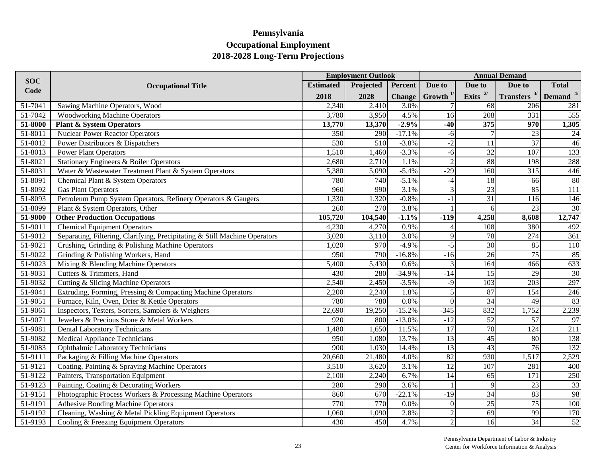|                       |                                                                            |                     | <b>Employment Outlook</b> |               |                 |                 | <b>Annual Demand</b>  |              |
|-----------------------|----------------------------------------------------------------------------|---------------------|---------------------------|---------------|-----------------|-----------------|-----------------------|--------------|
| <b>SOC</b>            | <b>Occupational Title</b>                                                  | <b>Estimated</b>    | Projected                 | Percent       | Due to          | Due to          | Due to                | <b>Total</b> |
| Code                  |                                                                            | 2018                | 2028                      | <b>Change</b> | Growth $1/$     | Exits $^{2/}$   | <b>Transfers</b> $3/$ | Demand $4/$  |
| 51-7041               | Sawing Machine Operators, Wood                                             | 2,340               | 2,410                     | 3.0%          |                 | 68              | 206                   | 281          |
| $\overline{51}$ -7042 | <b>Woodworking Machine Operators</b>                                       | 3,780               | 3,950                     | 4.5%          | 16              | 208             | 331                   | 555          |
| 51-8000               | <b>Plant &amp; System Operators</b>                                        | 13,770              | 13,370                    | $-2.9%$       | $-40$           | 375             | 970                   | 1,305        |
| 51-8011               | <b>Nuclear Power Reactor Operators</b>                                     | 350                 | 290                       | $-17.1%$      | $-6$            | $\overline{7}$  | 23                    | 24           |
| 51-8012               | Power Distributors & Dispatchers                                           | 530                 | 510                       | $-3.8%$       | $-2$            | 11              | $\overline{37}$       | 46           |
| 51-8013               | Power Plant Operators                                                      | 1,510               | 1,460                     | $-3.3%$       | $-6$            | 32              | $\overline{107}$      | 133          |
| 51-8021               | Stationary Engineers & Boiler Operators                                    | 2,680               | 2,710                     | 1.1%          | $\overline{2}$  | 88              | 198                   | 288          |
| 51-8031               | Water & Wastewater Treatment Plant & System Operators                      | 5,380               | 5,090                     | $-5.4%$       | $-29$           | 160             | 315                   | 446          |
| 51-8091               | Chemical Plant & System Operators                                          | 780                 | 740                       | $-5.1%$       | $-4$            | 18              | 66                    | 80           |
| 51-8092               | <b>Gas Plant Operators</b>                                                 | 960                 | 990                       | 3.1%          |                 | 23              | 85                    | 111          |
| 51-8093               | Petroleum Pump System Operators, Refinery Operators & Gaugers              | ,330                | 1,320                     | $-0.8%$       | $-1$            | $\overline{31}$ | 116                   | 146          |
| 51-8099               | Plant & System Operators, Other                                            | 260                 | 270                       | 3.8%          |                 | $\vert 6 \vert$ | 23                    | 30           |
| 51-9000               | <b>Other Production Occupations</b>                                        | 105,720             | 104,540                   | $-1.1%$       | $-119$          | 4,258           | 8,608                 | 12,747       |
| 51-9011               | <b>Chemical Equipment Operators</b>                                        | 4,230               | 4,270                     | 0.9%          |                 | 108             | 380                   | 492          |
| 51-9012               | Separating, Filtering, Clarifying, Precipitating & Still Machine Operators | 3,020               | 3,110                     | 3.0%          | $\mathbf{Q}$    | 78              | 274                   | 361          |
| 51-9021               | Crushing, Grinding & Polishing Machine Operators                           | 1,020               | 970                       | $-4.9%$       | $-5$            | 30              | 85                    | 110          |
| 51-9022               | Grinding & Polishing Workers, Hand                                         | 950                 | 790                       | $-16.8%$      | $-16$           | $\overline{26}$ | 75                    | 85           |
| $\overline{51-9023}$  | Mixing & Blending Machine Operators                                        | 5,400               | 5,430                     | 0.6%          | $\overline{3}$  | 164             | 466                   | 633          |
| 51-9031               | Cutters & Trimmers, Hand                                                   | 430                 | 280                       | $-34.9%$      | $-14$           | $\overline{15}$ | 29                    | 30           |
| 51-9032               | Cutting & Slicing Machine Operators                                        | 2,540               | 2,450                     | $-3.5%$       | $-9$            | 103             | 203                   | 297          |
| 51-9041               | Extruding, Forming, Pressing & Compacting Machine Operators                | 2,200               | 2,240                     | 1.8%          | 5               | $\overline{87}$ | 154                   | 246          |
| 51-9051               | Furnace, Kiln, Oven, Drier & Kettle Operators                              | 780                 | 780                       | 0.0%          | $\Omega$        | $\overline{34}$ | 49                    | 83           |
| 51-9061               | Inspectors, Testers, Sorters, Samplers & Weighers                          | $\overline{22,690}$ | 19,250                    | $-15.2%$      | $-345$          | 832             | 1,752                 | 2,239        |
| 51-9071               | Jewelers & Precious Stone & Metal Workers                                  | 920                 | 800                       | $-13.0%$      | $-12$           | 52              | 57                    | 97           |
| 51-9081               | <b>Dental Laboratory Technicians</b>                                       | 1,480               | 1,650                     | 11.5%         | 17              | 70              | 124                   | 211          |
| 51-9082               | Medical Appliance Technicians                                              | 950                 | 1,080                     | 13.7%         | 13              | 45              | 80                    | 138          |
| 51-9083               | Ophthalmic Laboratory Technicians                                          | 900                 | 1,030                     | 14.4%         | $\overline{13}$ | $\overline{43}$ | 76                    | 132          |
| 51-9111               | Packaging & Filling Machine Operators                                      | 20,660              | 21,480                    | 4.0%          | 82              | 930             | 1,517                 | 2,529        |
| 51-9121               | Coating, Painting & Spraying Machine Operators                             | 3,510               | 3,620                     | 3.1%          | 12              | 107             | 281                   | 400          |
| 51-9122               | Painters, Transportation Equipment                                         | 2,100               | 2,240                     | 6.7%          | $\overline{14}$ | 65              | 171                   | 250          |
| 51-9123               | Painting, Coating & Decorating Workers                                     | 280                 | 290                       | 3.6%          |                 | $\overline{9}$  | 23                    | 33           |
| 51-9151               | Photographic Process Workers & Processing Machine Operators                | 860                 | 670                       | $-22.1%$      | $-19$           | $\overline{34}$ | 83                    | 98           |
| 51-9191               | <b>Adhesive Bonding Machine Operators</b>                                  | 770                 | 770                       | 0.0%          | $\overline{0}$  | $\overline{25}$ | 75                    | 100          |
| 51-9192               | Cleaning, Washing & Metal Pickling Equipment Operators                     | 1,060               | 1,090                     | 2.8%          | $\overline{2}$  | 69              | 99                    | 170          |
| 51-9193               | Cooling & Freezing Equipment Operators                                     | 430                 | 450                       | 4.7%          | $\overline{2}$  | 16              | $\overline{34}$       | 52           |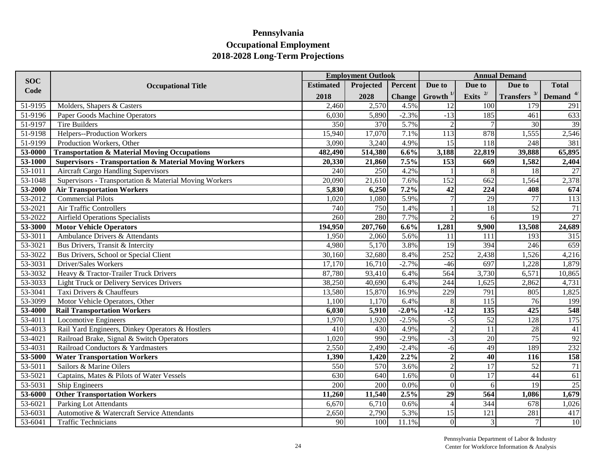|            |                                                                   |                  | <b>Employment Outlook</b> |               |                  |                  | <b>Annual Demand</b>  |                 |
|------------|-------------------------------------------------------------------|------------------|---------------------------|---------------|------------------|------------------|-----------------------|-----------------|
| <b>SOC</b> | <b>Occupational Title</b>                                         | <b>Estimated</b> | Projected                 | Percent       | Due to           | Due to           | Due to                | <b>Total</b>    |
| Code       |                                                                   | 2018             | 2028                      | <b>Change</b> | Growth $1/$      | Exits $^{2/}$    | <b>Transfers</b> $3/$ | Demand $4/$     |
| 51-9195    | Molders, Shapers & Casters                                        | 2,460            | 2,570                     | 4.5%          | 12               | 100              | 179                   | 291             |
| 51-9196    | Paper Goods Machine Operators                                     | 6,030            | 5,890                     | $-2.3%$       | $-13$            | 185              | 461                   | 633             |
| 51-9197    | <b>Tire Builders</b>                                              | 350              | 370                       | 5.7%          |                  | $\overline{7}$   | 30                    | 39              |
| 51-9198    | Helpers--Production Workers                                       | 15,940           | 17,070                    | 7.1%          | 113              | 878              | 1,555                 | 2,546           |
| 51-9199    | Production Workers, Other                                         | 3,090            | 3,240                     | 4.9%          | 15               | 118              | 248                   | 381             |
| 53-0000    | <b>Transportation &amp; Material Moving Occupations</b>           | 482,490          | 514,380                   | 6.6%          | 3,188            | 22,819           | 39,888                | 65,895          |
| 53-1000    | <b>Supervisors - Transportation &amp; Material Moving Workers</b> | 20,330           | 21,860                    | 7.5%          | $\overline{153}$ | 669              | 1,582                 | 2,404           |
| 53-1011    | <b>Aircraft Cargo Handling Supervisors</b>                        | 240              | 250                       | 4.2%          |                  | 8                | 18                    | 27              |
| 53-1048    | Supervisors - Transportation & Material Moving Workers            | 20,090           | 21,610                    | 7.6%          | 152              | 662              | 1,564                 | 2,378           |
| 53-2000    | <b>Air Transportation Workers</b>                                 | 5,830            | 6,250                     | 7.2%          | 42               | 224              | 408                   | 674             |
| 53-2012    | <b>Commercial Pilots</b>                                          | 1,020            | 1,080                     | 5.9%          |                  | 29               | 77                    | 113             |
| 53-2021    | Air Traffic Controllers                                           | 740              | 750                       | 1.4%          |                  | 18               | $\overline{52}$       | $\overline{71}$ |
| 53-2022    | <b>Airfield Operations Specialists</b>                            | 260              | 280                       | 7.7%          | $\overline{2}$   | $6 \mid$         | 19                    | 27              |
| 53-3000    | <b>Motor Vehicle Operators</b>                                    | 194,950          | 207,760                   | 6.6%          | 1,281            | 9,900            | 13,508                | 24,689          |
| 53-3011    | Ambulance Drivers & Attendants                                    | 1,950            | 2,060                     | 5.6%          | 11               | 111              | 193                   | 315             |
| 53-3021    | Bus Drivers, Transit & Intercity                                  | 4,980            | 5,170                     | 3.8%          | 19               | 394              | 246                   | 659             |
| 53-3022    | Bus Drivers, School or Special Client                             | 30,160           | 32,680                    | 8.4%          | 252              | 2,438            | 1,526                 | 4,216           |
| 53-3031    | Driver/Sales Workers                                              | 17,170           | 16,710                    | $-2.7%$       | $-46$            | 697              | 1,228                 | 1,879           |
| 53-3032    | Heavy & Tractor-Trailer Truck Drivers                             | 87,780           | 93,410                    | 6.4%          | 564              | 3,730            | 6,571                 | 10,865          |
| 53-3033    | <b>Light Truck or Delivery Services Drivers</b>                   | 38,250           | 40,690                    | 6.4%          | 244              | 1,625            | 2,862                 | 4,731           |
| 53-3041    | Taxi Drivers & Chauffeurs                                         | 13,580           | 15,870                    | 16.9%         | 229              | 791              | 805                   | 1,825           |
| 53-3099    | Motor Vehicle Operators, Other                                    | 1,100            | 1,170                     | 6.4%          | 8                | $\overline{115}$ | 76                    | 199             |
| 53-4000    | <b>Rail Transportation Workers</b>                                | 6,030            | 5,910                     | $-2.0%$       | $-12$            | 135              | 425                   | 548             |
| 53-4011    | <b>Locomotive Engineers</b>                                       | 1,970            | 1,920                     | $-2.5%$       | $-5$             | 52               | 128                   | 175             |
| 53-4013    | Rail Yard Engineers, Dinkey Operators & Hostlers                  | $\overline{410}$ | 430                       | 4.9%          | $\overline{2}$   | $\overline{11}$  | $\overline{28}$       | $\overline{41}$ |
| 53-4021    | Railroad Brake, Signal & Switch Operators                         | 1,020            | 990                       | $-2.9%$       | $-3$             | 20               | 75                    | 92              |
| 53-4031    | Railroad Conductors & Yardmasters                                 | 2,550            | 2,490                     | $-2.4%$       | $-6$             | 49               | 189                   | 232             |
| 53-5000    | <b>Water Transportation Workers</b>                               | 1,390            | 1,420                     | 2.2%          | $\overline{2}$   | 40               | 116                   | 158             |
| 53-5011    | Sailors & Marine Oilers                                           | 550              | 570                       | 3.6%          | $\overline{2}$   | $\overline{17}$  | $\overline{52}$       | $\overline{71}$ |
| 53-5021    | Captains, Mates & Pilots of Water Vessels                         | 630              | 640                       | 1.6%          | $\overline{0}$   | $\overline{17}$  | $\overline{44}$       | 61              |
| 53-5031    | Ship Engineers                                                    | 200              | 200                       | 0.0%          | $\Omega$         | $\sigma$         | 19                    | 25              |
| 53-6000    | <b>Other Transportation Workers</b>                               | 11,260           | 11,540                    | 2.5%          | $\overline{29}$  | 564              | 1,086                 | 1,679           |
| 53-6021    | <b>Parking Lot Attendants</b>                                     | 6,670            | 6,710                     | 0.6%          |                  | 344              | 678                   | 1,026           |
| 53-6031    | Automotive & Watercraft Service Attendants                        | 2,650            | 2,790                     | 5.3%          | 15               | 121              | 281                   | 417             |
| 53-6041    | <b>Traffic Technicians</b>                                        | 90               | 100                       | 11.1%         | $\vert 0 \vert$  | $\overline{3}$   |                       | 10              |